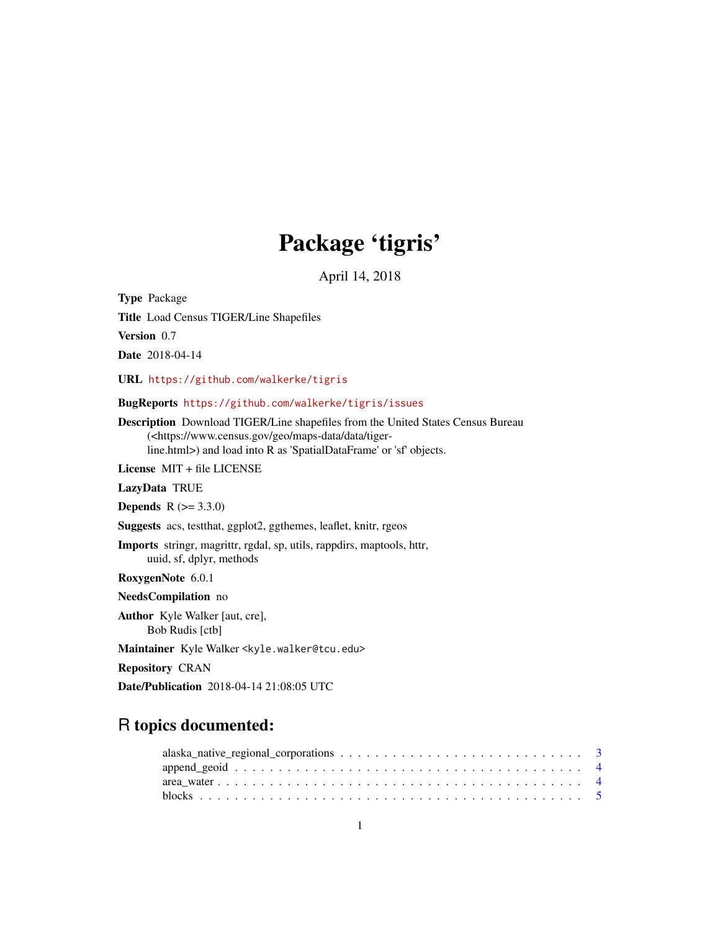# Package 'tigris'

April 14, 2018

Type Package Title Load Census TIGER/Line Shapefiles Version 0.7

Date 2018-04-14

URL <https://github.com/walkerke/tigris>

BugReports <https://github.com/walkerke/tigris/issues>

Description Download TIGER/Line shapefiles from the United States Census Bureau (<https://www.census.gov/geo/maps-data/data/tigerline.html>) and load into R as 'SpatialDataFrame' or 'sf' objects.

License MIT + file LICENSE

LazyData TRUE

**Depends**  $R (= 3.3.0)$ 

Suggests acs, testthat, ggplot2, ggthemes, leaflet, knitr, rgeos

Imports stringr, magrittr, rgdal, sp, utils, rappdirs, maptools, httr, uuid, sf, dplyr, methods

RoxygenNote 6.0.1

NeedsCompilation no

Author Kyle Walker [aut, cre], Bob Rudis [ctb]

Maintainer Kyle Walker <kyle.walker@tcu.edu>

Repository CRAN

Date/Publication 2018-04-14 21:08:05 UTC

# R topics documented: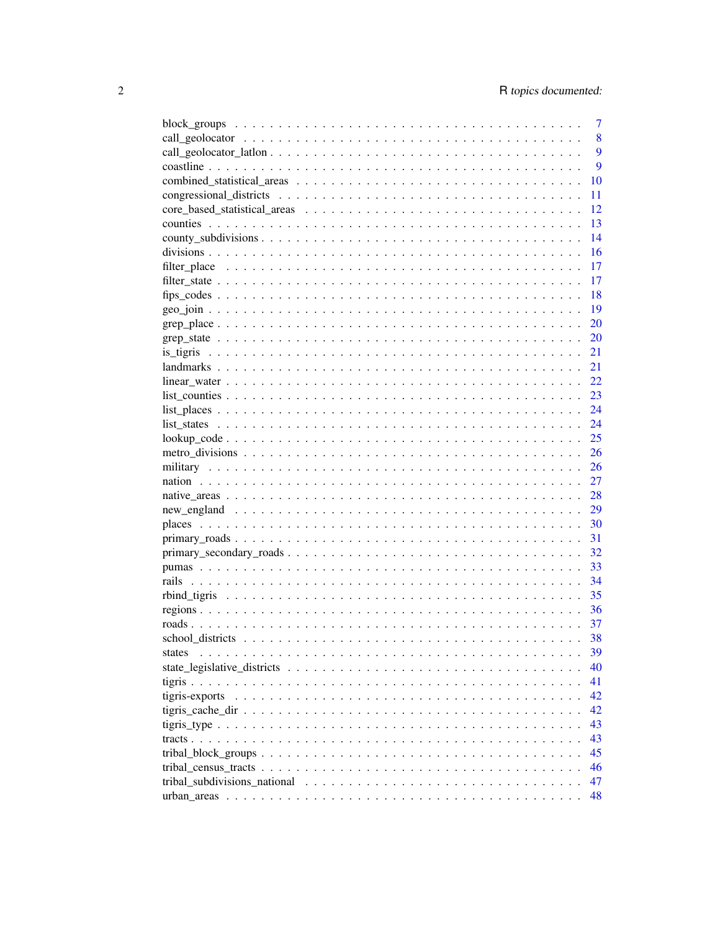|        | 7  |
|--------|----|
|        | 8  |
|        | 9  |
|        | 9  |
|        | 10 |
|        | 11 |
|        | 12 |
|        | 13 |
|        | 14 |
|        | 16 |
|        | 17 |
|        | 17 |
|        | 18 |
|        | 19 |
|        | 20 |
|        | 20 |
|        | 21 |
|        |    |
|        | 21 |
|        | 22 |
|        | 23 |
|        | 24 |
|        | 24 |
|        | 25 |
|        | 26 |
|        | 26 |
|        | 27 |
|        | 28 |
|        | 29 |
|        | 30 |
|        | 31 |
|        | 32 |
|        | 33 |
|        | 34 |
|        | 35 |
|        | 36 |
|        | 37 |
|        | 38 |
| states | 39 |
|        | 40 |
|        | 41 |
|        | 42 |
|        | 42 |
|        | 43 |
|        | 43 |
|        | 45 |
|        | 46 |
|        | 47 |
|        | 48 |
|        |    |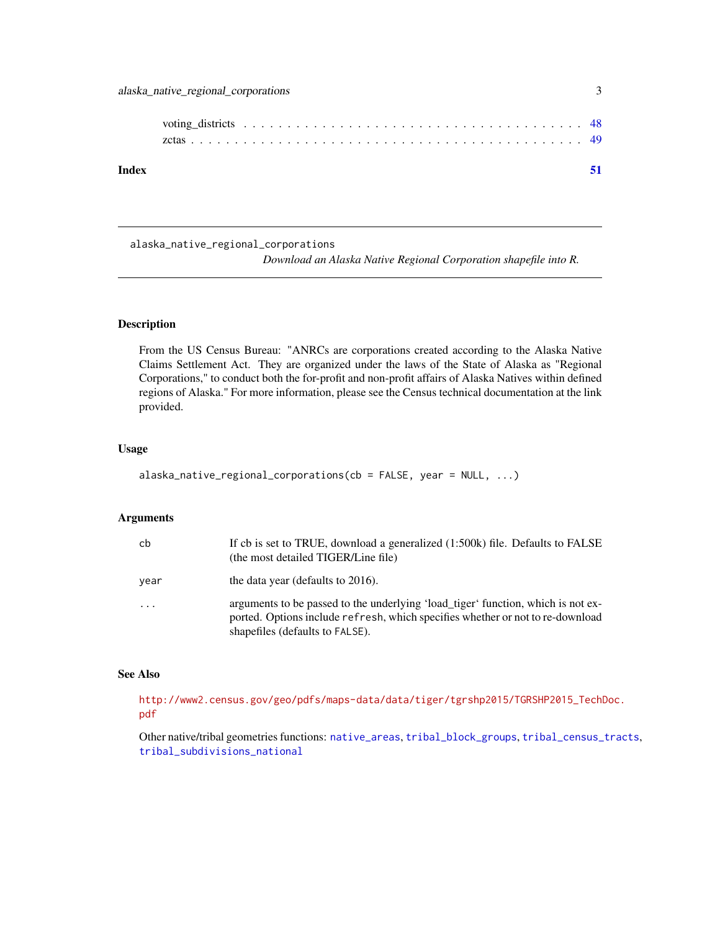<span id="page-2-0"></span>

| Index |  |  |  |  |  |  |  |  |  |  |  |  |  |  |  |  |  |  |
|-------|--|--|--|--|--|--|--|--|--|--|--|--|--|--|--|--|--|--|

<span id="page-2-1"></span>alaska\_native\_regional\_corporations

*Download an Alaska Native Regional Corporation shapefile into R.*

# Description

From the US Census Bureau: "ANRCs are corporations created according to the Alaska Native Claims Settlement Act. They are organized under the laws of the State of Alaska as "Regional Corporations," to conduct both the for-profit and non-profit affairs of Alaska Natives within defined regions of Alaska." For more information, please see the Census technical documentation at the link provided.

#### Usage

```
alaska_native_regional_corporations(cb = FALSE, year = NULL, ...)
```
# Arguments

| cb         | If cb is set to TRUE, download a generalized (1:500k) file. Defaults to FALSE<br>(the most detailed TIGER/Line file)                                                                                  |
|------------|-------------------------------------------------------------------------------------------------------------------------------------------------------------------------------------------------------|
| year       | the data year (defaults to 2016).                                                                                                                                                                     |
| $\ddots$ . | arguments to be passed to the underlying 'load_tiger' function, which is not ex-<br>ported. Options include refresh, which specifies whether or not to re-download<br>shapefiles (defaults to FALSE). |

# See Also

[http://www2.census.gov/geo/pdfs/maps-data/data/tiger/tgrshp2015/TGRSHP2015\\_TechD](http://www2.census.gov/geo/pdfs/maps-data/data/tiger/tgrshp2015/TGRSHP2015_TechDoc.pdf)oc. [pdf](http://www2.census.gov/geo/pdfs/maps-data/data/tiger/tgrshp2015/TGRSHP2015_TechDoc.pdf)

Other native/tribal geometries functions: [native\\_areas](#page-27-1), [tribal\\_block\\_groups](#page-44-1), [tribal\\_census\\_tracts](#page-45-1), [tribal\\_subdivisions\\_national](#page-46-1)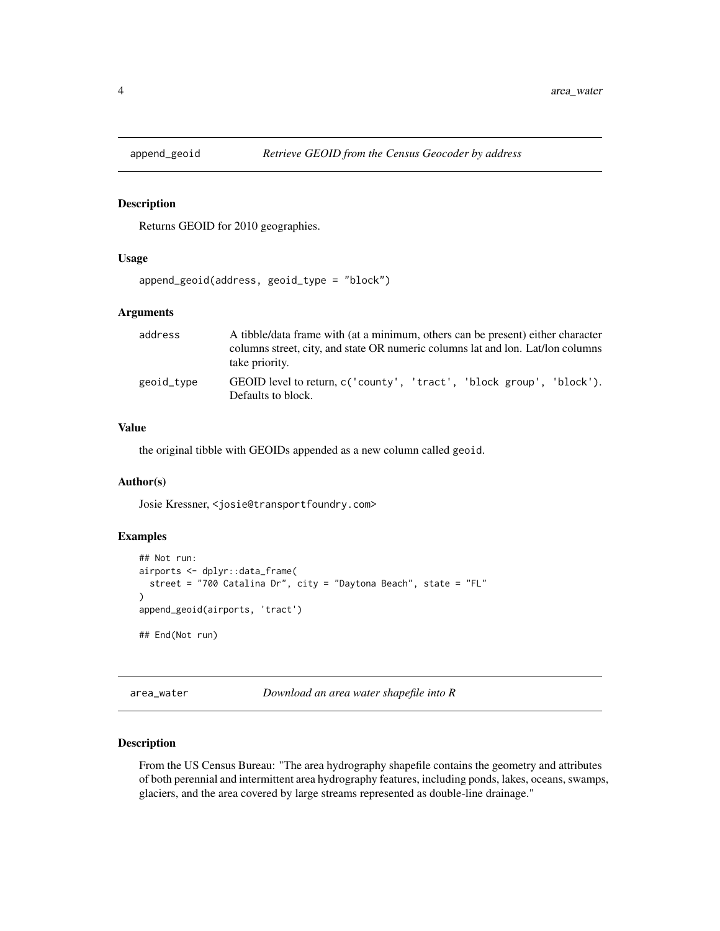<span id="page-3-0"></span>

Returns GEOID for 2010 geographies.

# Usage

```
append_geoid(address, geoid_type = "block")
```
#### Arguments

| address    | A tibble/data frame with (at a minimum, others can be present) either character                   |
|------------|---------------------------------------------------------------------------------------------------|
|            | columns street, city, and state OR numeric columns lat and lon. Lat/lon columns<br>take priority. |
| geoid_type | GEOID level to return, c('county', 'tract', 'block group', 'block').<br>Defaults to block.        |

# Value

the original tibble with GEOIDs appended as a new column called geoid.

# Author(s)

Josie Kressner, <josie@transportfoundry.com>

# Examples

```
## Not run:
airports <- dplyr::data_frame(
  street = "700 Catalina Dr", city = "Daytona Beach", state = "FL"
\lambdaappend_geoid(airports, 'tract')
## End(Not run)
```
<span id="page-3-1"></span>area\_water *Download an area water shapefile into R*

# Description

From the US Census Bureau: "The area hydrography shapefile contains the geometry and attributes of both perennial and intermittent area hydrography features, including ponds, lakes, oceans, swamps, glaciers, and the area covered by large streams represented as double-line drainage."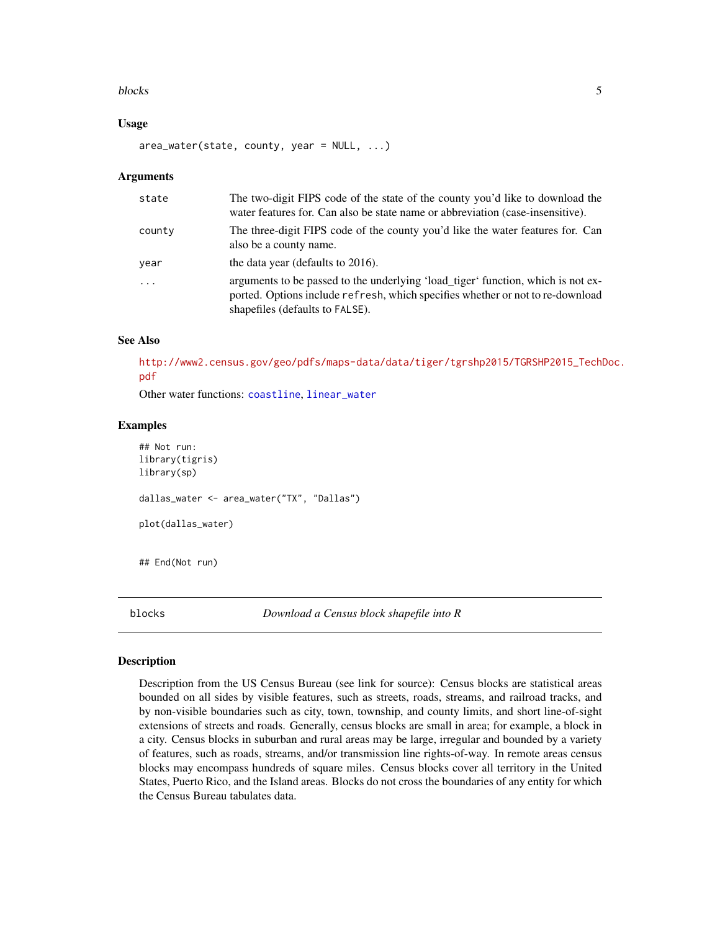#### <span id="page-4-0"></span>blocks 5

#### Usage

area\_water(state, county, year = NULL, ...)

#### **Arguments**

| state     | The two-digit FIPS code of the state of the county you'd like to download the<br>water features for. Can also be state name or abbreviation (case-insensitive).                                       |
|-----------|-------------------------------------------------------------------------------------------------------------------------------------------------------------------------------------------------------|
| county    | The three-digit FIPS code of the county you'd like the water features for. Can<br>also be a county name.                                                                                              |
| year      | the data year (defaults to 2016).                                                                                                                                                                     |
| $\ddotsc$ | arguments to be passed to the underlying 'load_tiger' function, which is not ex-<br>ported. Options include refresh, which specifies whether or not to re-download<br>shapefiles (defaults to FALSE). |

#### See Also

[http://www2.census.gov/geo/pdfs/maps-data/data/tiger/tgrshp2015/TGRSHP2015\\_TechD](http://www2.census.gov/geo/pdfs/maps-data/data/tiger/tgrshp2015/TGRSHP2015_TechDoc.pdf)oc. [pdf](http://www2.census.gov/geo/pdfs/maps-data/data/tiger/tgrshp2015/TGRSHP2015_TechDoc.pdf)

Other water functions: [coastline](#page-8-1), [linear\\_water](#page-21-1)

# Examples

```
## Not run:
library(tigris)
library(sp)
dallas_water <- area_water("TX", "Dallas")
plot(dallas_water)
## End(Not run)
```
<span id="page-4-1"></span>blocks *Download a Census block shapefile into R*

#### Description

Description from the US Census Bureau (see link for source): Census blocks are statistical areas bounded on all sides by visible features, such as streets, roads, streams, and railroad tracks, and by non-visible boundaries such as city, town, township, and county limits, and short line-of-sight extensions of streets and roads. Generally, census blocks are small in area; for example, a block in a city. Census blocks in suburban and rural areas may be large, irregular and bounded by a variety of features, such as roads, streams, and/or transmission line rights-of-way. In remote areas census blocks may encompass hundreds of square miles. Census blocks cover all territory in the United States, Puerto Rico, and the Island areas. Blocks do not cross the boundaries of any entity for which the Census Bureau tabulates data.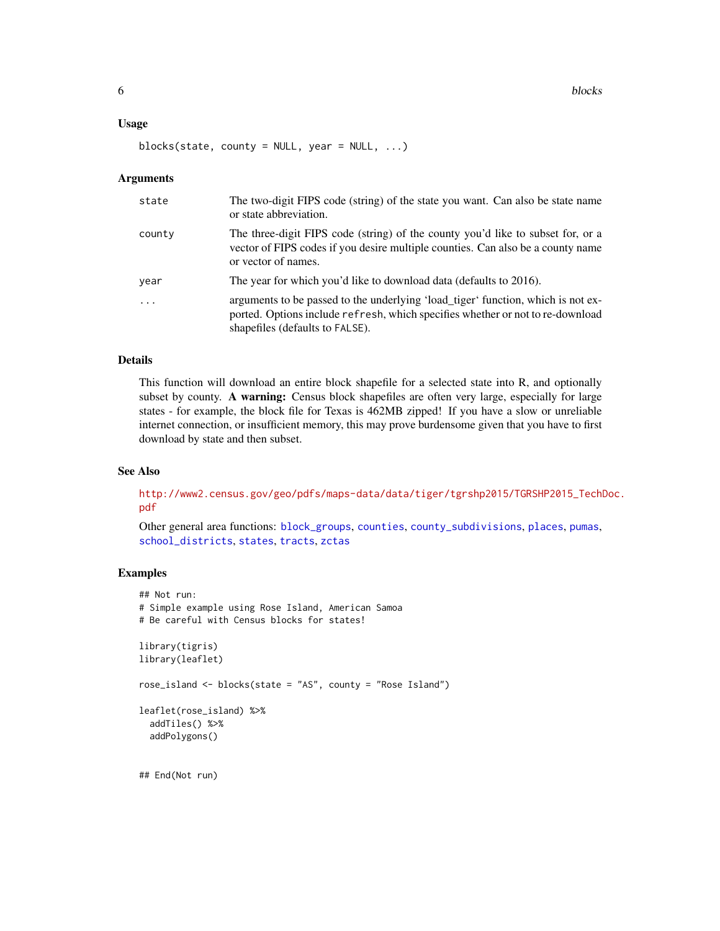#### <span id="page-5-0"></span>Usage

blocks(state, county = NULL, year = NULL,  $\ldots$ )

#### Arguments

| state      | The two-digit FIPS code (string) of the state you want. Can also be state name<br>or state abbreviation.                                                                                              |
|------------|-------------------------------------------------------------------------------------------------------------------------------------------------------------------------------------------------------|
| county     | The three-digit FIPS code (string) of the county you'd like to subset for, or a<br>vector of FIPS codes if you desire multiple counties. Can also be a county name<br>or vector of names.             |
| year       | The year for which you'd like to download data (defaults to 2016).                                                                                                                                    |
| $\ddots$ . | arguments to be passed to the underlying 'load_tiger' function, which is not ex-<br>ported. Options include refresh, which specifies whether or not to re-download<br>shapefiles (defaults to FALSE). |

#### Details

This function will download an entire block shapefile for a selected state into R, and optionally subset by county. A warning: Census block shapefiles are often very large, especially for large states - for example, the block file for Texas is 462MB zipped! If you have a slow or unreliable internet connection, or insufficient memory, this may prove burdensome given that you have to first download by state and then subset.

#### See Also

[http://www2.census.gov/geo/pdfs/maps-data/data/tiger/tgrshp2015/TGRSHP2015\\_TechD](http://www2.census.gov/geo/pdfs/maps-data/data/tiger/tgrshp2015/TGRSHP2015_TechDoc.pdf)oc. [pdf](http://www2.census.gov/geo/pdfs/maps-data/data/tiger/tgrshp2015/TGRSHP2015_TechDoc.pdf)

Other general area functions: [block\\_groups](#page-6-1), [counties](#page-12-1), [county\\_subdivisions](#page-13-1), [places](#page-29-1), [pumas](#page-32-1), [school\\_districts](#page-37-1), [states](#page-38-1), [tracts](#page-42-1), [zctas](#page-48-1)

```
## Not run:
# Simple example using Rose Island, American Samoa
# Be careful with Census blocks for states!
library(tigris)
library(leaflet)
rose_island <- blocks(state = "AS", county = "Rose Island")
leaflet(rose_island) %>%
 addTiles() %>%
 addPolygons()
## End(Not run)
```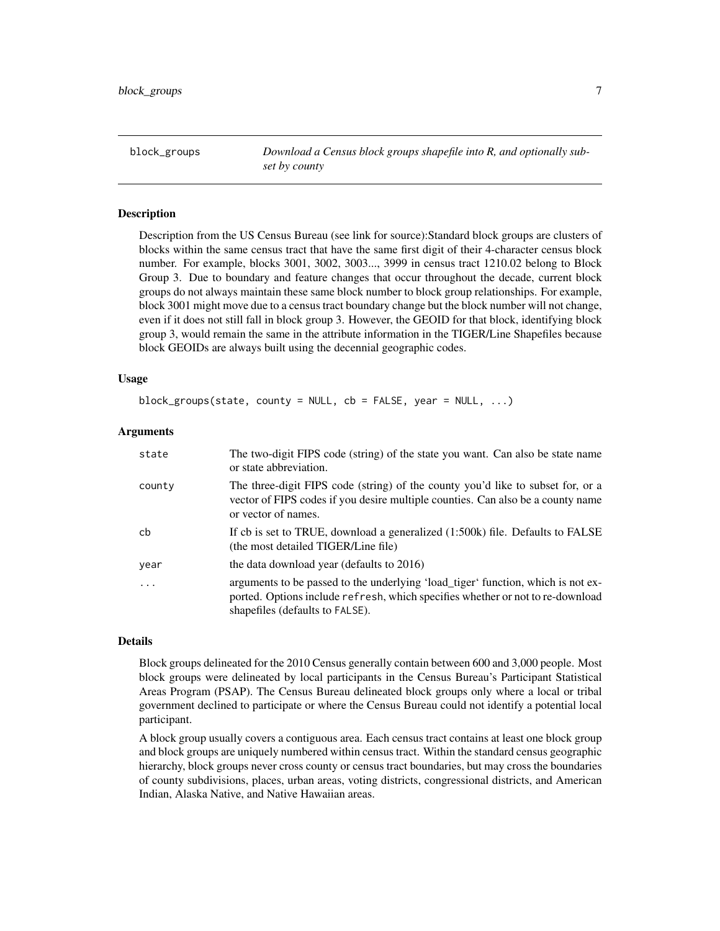<span id="page-6-1"></span><span id="page-6-0"></span>block\_groups *Download a Census block groups shapefile into R, and optionally subset by county*

# Description

Description from the US Census Bureau (see link for source):Standard block groups are clusters of blocks within the same census tract that have the same first digit of their 4-character census block number. For example, blocks 3001, 3002, 3003..., 3999 in census tract 1210.02 belong to Block Group 3. Due to boundary and feature changes that occur throughout the decade, current block groups do not always maintain these same block number to block group relationships. For example, block 3001 might move due to a census tract boundary change but the block number will not change, even if it does not still fall in block group 3. However, the GEOID for that block, identifying block group 3, would remain the same in the attribute information in the TIGER/Line Shapefiles because block GEOIDs are always built using the decennial geographic codes.

#### Usage

block\_groups(state, county = NULL, cb = FALSE, year = NULL, ...)

#### Arguments

| state  | The two-digit FIPS code (string) of the state you want. Can also be state name<br>or state abbreviation.                                                                                              |
|--------|-------------------------------------------------------------------------------------------------------------------------------------------------------------------------------------------------------|
| county | The three-digit FIPS code (string) of the county you'd like to subset for, or a<br>vector of FIPS codes if you desire multiple counties. Can also be a county name<br>or vector of names.             |
| cb     | If cb is set to TRUE, download a generalized (1:500k) file. Defaults to FALSE<br>(the most detailed TIGER/Line file)                                                                                  |
| year   | the data download year (defaults to 2016)                                                                                                                                                             |
| .      | arguments to be passed to the underlying 'load_tiger' function, which is not ex-<br>ported. Options include refresh, which specifies whether or not to re-download<br>shapefiles (defaults to FALSE). |

#### Details

Block groups delineated for the 2010 Census generally contain between 600 and 3,000 people. Most block groups were delineated by local participants in the Census Bureau's Participant Statistical Areas Program (PSAP). The Census Bureau delineated block groups only where a local or tribal government declined to participate or where the Census Bureau could not identify a potential local participant.

A block group usually covers a contiguous area. Each census tract contains at least one block group and block groups are uniquely numbered within census tract. Within the standard census geographic hierarchy, block groups never cross county or census tract boundaries, but may cross the boundaries of county subdivisions, places, urban areas, voting districts, congressional districts, and American Indian, Alaska Native, and Native Hawaiian areas.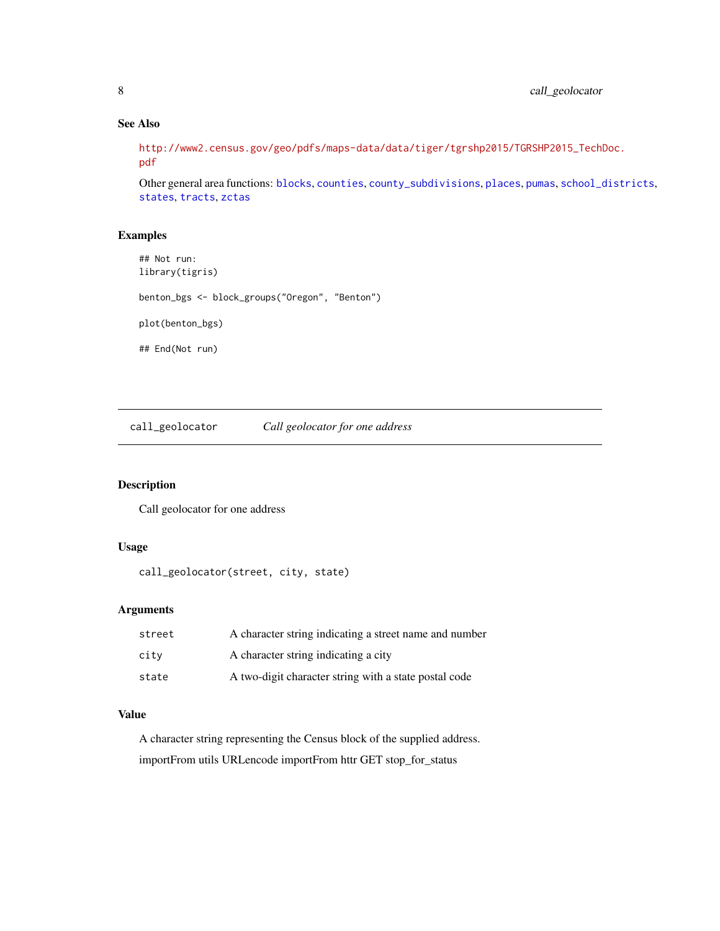# See Also

[http://www2.census.gov/geo/pdfs/maps-data/data/tiger/tgrshp2015/TGRSHP2015\\_TechD](http://www2.census.gov/geo/pdfs/maps-data/data/tiger/tgrshp2015/TGRSHP2015_TechDoc.pdf)oc. [pdf](http://www2.census.gov/geo/pdfs/maps-data/data/tiger/tgrshp2015/TGRSHP2015_TechDoc.pdf)

Other general area functions: [blocks](#page-4-1), [counties](#page-12-1), [county\\_subdivisions](#page-13-1), [places](#page-29-1), [pumas](#page-32-1), [school\\_districts](#page-37-1), [states](#page-38-1), [tracts](#page-42-1), [zctas](#page-48-1)

#### Examples

```
## Not run:
library(tigris)
benton_bgs <- block_groups("Oregon", "Benton")
plot(benton_bgs)
## End(Not run)
```
call\_geolocator *Call geolocator for one address*

# Description

Call geolocator for one address

#### Usage

```
call_geolocator(street, city, state)
```
# Arguments

| street | A character string indicating a street name and number |
|--------|--------------------------------------------------------|
| city   | A character string indicating a city                   |
| state  | A two-digit character string with a state postal code  |

# Value

A character string representing the Census block of the supplied address. importFrom utils URLencode importFrom httr GET stop\_for\_status

<span id="page-7-0"></span>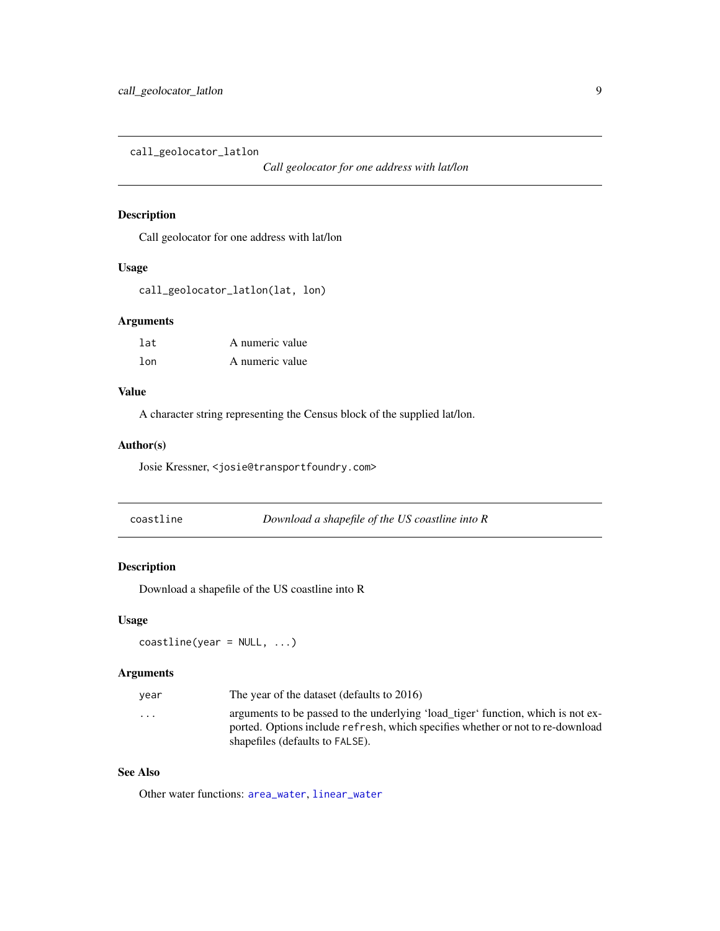<span id="page-8-0"></span>call\_geolocator\_latlon

*Call geolocator for one address with lat/lon*

# Description

Call geolocator for one address with lat/lon

# Usage

call\_geolocator\_latlon(lat, lon)

# Arguments

| lat | A numeric value |
|-----|-----------------|
| lon | A numeric value |

# Value

A character string representing the Census block of the supplied lat/lon.

# Author(s)

Josie Kressner, <josie@transportfoundry.com>

<span id="page-8-1"></span>

| coastline |  |  |
|-----------|--|--|
|           |  |  |

coastline *Download a shapefile of the US coastline into R*

# Description

Download a shapefile of the US coastline into R

# Usage

```
coastline(year = NULL, ...)
```
# Arguments

| year     | The year of the dataset (defaults to 2016)                                                                                                                         |
|----------|--------------------------------------------------------------------------------------------------------------------------------------------------------------------|
| $\cdots$ | arguments to be passed to the underlying 'load_tiger' function, which is not ex-<br>ported. Options include refresh, which specifies whether or not to re-download |
|          | shapefiles (defaults to FALSE).                                                                                                                                    |

# See Also

Other water functions: [area\\_water](#page-3-1), [linear\\_water](#page-21-1)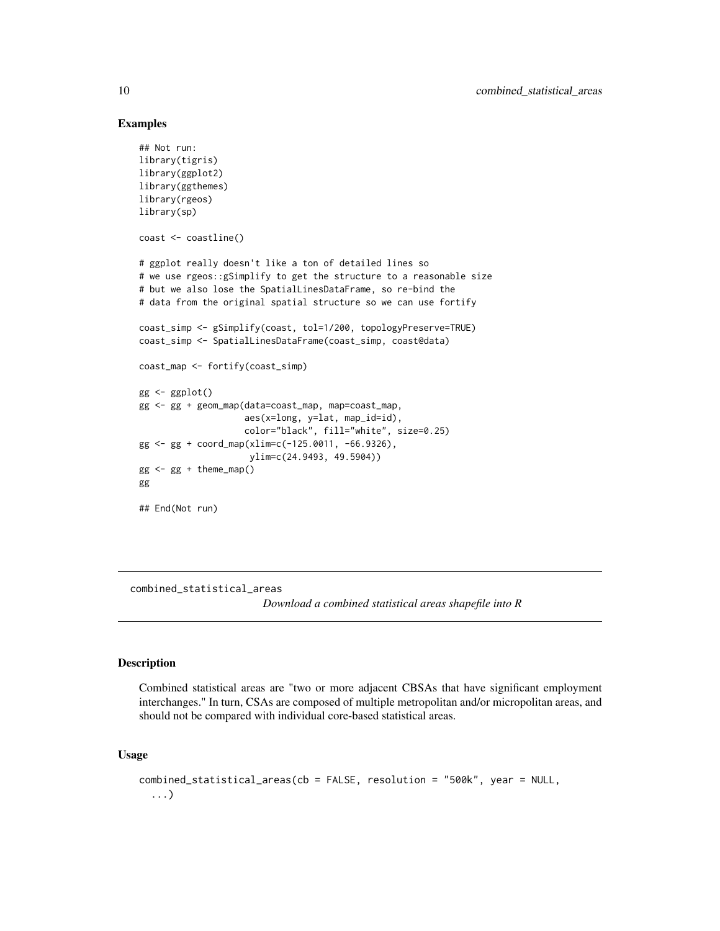#### Examples

```
## Not run:
library(tigris)
library(ggplot2)
library(ggthemes)
library(rgeos)
library(sp)
coast <- coastline()
# ggplot really doesn't like a ton of detailed lines so
# we use rgeos::gSimplify to get the structure to a reasonable size
# but we also lose the SpatialLinesDataFrame, so re-bind the
# data from the original spatial structure so we can use fortify
coast_simp <- gSimplify(coast, tol=1/200, topologyPreserve=TRUE)
coast_simp <- SpatialLinesDataFrame(coast_simp, coast@data)
coast_map <- fortify(coast_simp)
gg <- ggplot()
gg <- gg + geom_map(data=coast_map, map=coast_map,
                    aes(x=long, y=lat, map_id=id),
                    color="black", fill="white", size=0.25)
gg <- gg + coord_map(xlim=c(-125.0011, -66.9326),
                     ylim=c(24.9493, 49.5904))
gg <- gg + theme_map()
gg
## End(Not run)
```
<span id="page-9-1"></span>combined\_statistical\_areas

*Download a combined statistical areas shapefile into R*

#### Description

Combined statistical areas are "two or more adjacent CBSAs that have significant employment interchanges." In turn, CSAs are composed of multiple metropolitan and/or micropolitan areas, and should not be compared with individual core-based statistical areas.

# Usage

```
combined_statistical_areas(cb = FALSE, resolution = "500k", year = NULL,
  ...)
```
<span id="page-9-0"></span>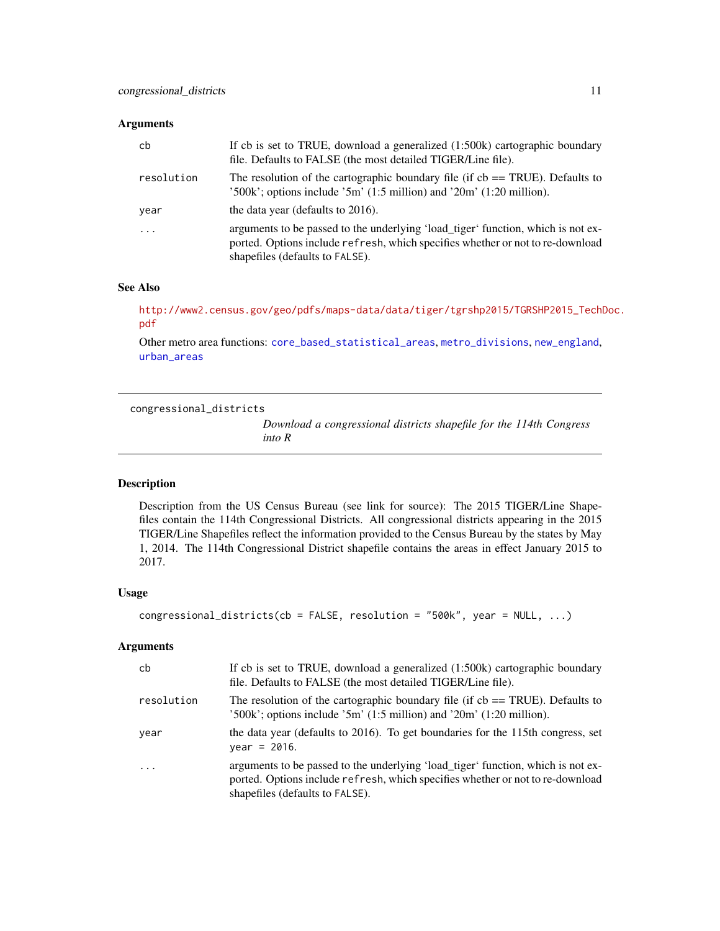# <span id="page-10-0"></span>Arguments

| cb         | If cb is set to TRUE, download a generalized (1:500k) cartographic boundary<br>file. Defaults to FALSE (the most detailed TIGER/Line file).                                                           |
|------------|-------------------------------------------------------------------------------------------------------------------------------------------------------------------------------------------------------|
| resolution | The resolution of the cartographic boundary file (if $cb == TRUE$ ). Defaults to<br>$300k$ ; options include $3m'$ (1:5 million) and $20m'$ (1:20 million).                                           |
| year       | the data year (defaults to 2016).                                                                                                                                                                     |
| $\ddotsc$  | arguments to be passed to the underlying 'load_tiger' function, which is not ex-<br>ported. Options include refresh, which specifies whether or not to re-download<br>shapefiles (defaults to FALSE). |

# See Also

[http://www2.census.gov/geo/pdfs/maps-data/data/tiger/tgrshp2015/TGRSHP2015\\_TechD](http://www2.census.gov/geo/pdfs/maps-data/data/tiger/tgrshp2015/TGRSHP2015_TechDoc.pdf)oc. [pdf](http://www2.census.gov/geo/pdfs/maps-data/data/tiger/tgrshp2015/TGRSHP2015_TechDoc.pdf)

Other metro area functions: [core\\_based\\_statistical\\_areas](#page-11-1), [metro\\_divisions](#page-25-1), [new\\_england](#page-28-1), [urban\\_areas](#page-47-1)

<span id="page-10-1"></span>congressional\_districts

*Download a congressional districts shapefile for the 114th Congress into R*

# Description

Description from the US Census Bureau (see link for source): The 2015 TIGER/Line Shapefiles contain the 114th Congressional Districts. All congressional districts appearing in the 2015 TIGER/Line Shapefiles reflect the information provided to the Census Bureau by the states by May 1, 2014. The 114th Congressional District shapefile contains the areas in effect January 2015 to 2017.

#### Usage

```
congressional_districts(cb = FALSE, resolution = "500k", year = NULL, ...)
```
# Arguments

| cb         | If cb is set to TRUE, download a generalized (1:500k) cartographic boundary<br>file. Defaults to FALSE (the most detailed TIGER/Line file).                                                           |
|------------|-------------------------------------------------------------------------------------------------------------------------------------------------------------------------------------------------------|
| resolution | The resolution of the cartographic boundary file (if $cb = TRUE$ ). Defaults to<br>$'500k'$ ; options include $'5m'$ (1:5 million) and $'20m'$ (1:20 million).                                        |
| year       | the data year (defaults to 2016). To get boundaries for the 115th congress, set<br>$year = 2016.$                                                                                                     |
| $\cdot$    | arguments to be passed to the underlying 'load_tiger' function, which is not ex-<br>ported. Options include refresh, which specifies whether or not to re-download<br>shapefiles (defaults to FALSE). |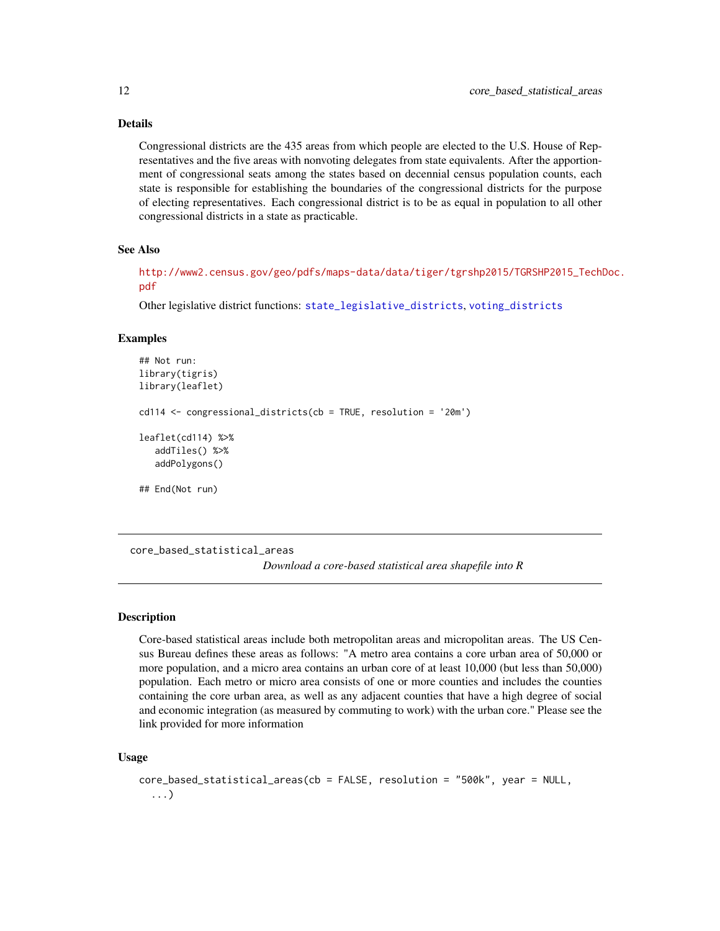# <span id="page-11-0"></span>Details

Congressional districts are the 435 areas from which people are elected to the U.S. House of Representatives and the five areas with nonvoting delegates from state equivalents. After the apportionment of congressional seats among the states based on decennial census population counts, each state is responsible for establishing the boundaries of the congressional districts for the purpose of electing representatives. Each congressional district is to be as equal in population to all other congressional districts in a state as practicable.

#### See Also

[http://www2.census.gov/geo/pdfs/maps-data/data/tiger/tgrshp2015/TGRSHP2015\\_TechD](http://www2.census.gov/geo/pdfs/maps-data/data/tiger/tgrshp2015/TGRSHP2015_TechDoc.pdf)oc. [pdf](http://www2.census.gov/geo/pdfs/maps-data/data/tiger/tgrshp2015/TGRSHP2015_TechDoc.pdf)

Other legislative district functions: [state\\_legislative\\_districts](#page-39-1), [voting\\_districts](#page-47-2)

#### Examples

```
## Not run:
library(tigris)
library(leaflet)
cd114 <- congressional_districts(cb = TRUE, resolution = '20m')
leaflet(cd114) %>%
  addTiles() %>%
  addPolygons()
## End(Not run)
```
<span id="page-11-1"></span>core\_based\_statistical\_areas

*Download a core-based statistical area shapefile into R*

#### Description

Core-based statistical areas include both metropolitan areas and micropolitan areas. The US Census Bureau defines these areas as follows: "A metro area contains a core urban area of 50,000 or more population, and a micro area contains an urban core of at least 10,000 (but less than 50,000) population. Each metro or micro area consists of one or more counties and includes the counties containing the core urban area, as well as any adjacent counties that have a high degree of social and economic integration (as measured by commuting to work) with the urban core." Please see the link provided for more information

### Usage

```
core_based_statistical_areas(cb = FALSE, resolution = "500k", year = NULL,
  ...)
```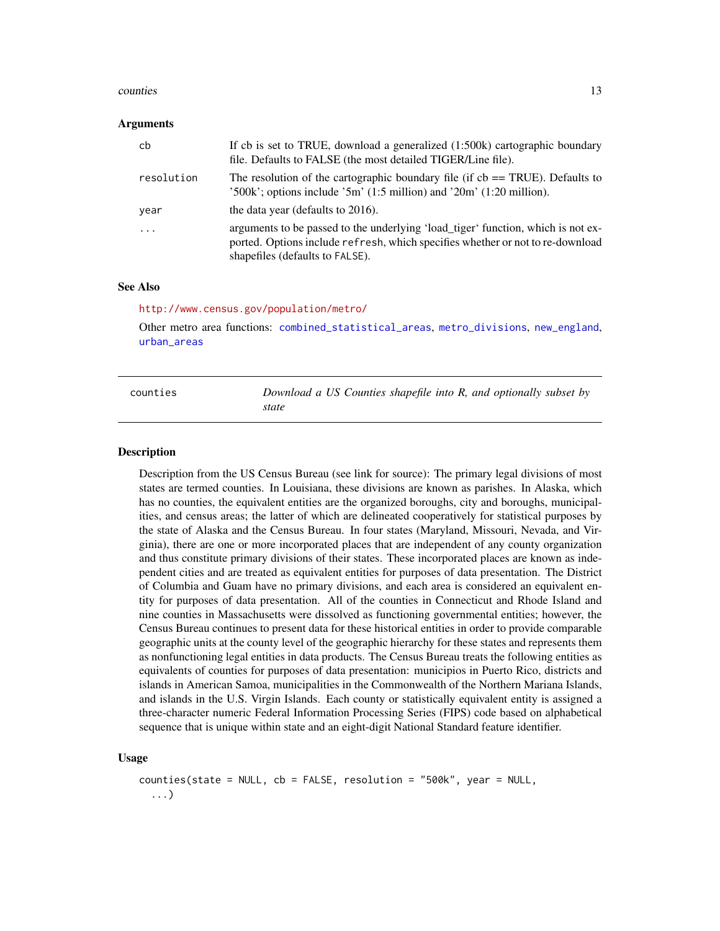#### <span id="page-12-0"></span>counties and the counties of the counties of the counties of the counties of the counties of the counties of the counties of the counties of the counties of the counties of the counties of the counties of the counties of t

#### Arguments

| cb         | If cb is set to TRUE, download a generalized (1:500k) cartographic boundary<br>file. Defaults to FALSE (the most detailed TIGER/Line file).                                                           |
|------------|-------------------------------------------------------------------------------------------------------------------------------------------------------------------------------------------------------|
| resolution | The resolution of the cartographic boundary file (if $cb == TRUE$ ). Defaults to<br>$300k$ ; options include $3m'$ (1:5 million) and $20m'$ (1:20 million).                                           |
| year       | the data year (defaults to 2016).                                                                                                                                                                     |
| .          | arguments to be passed to the underlying 'load_tiger' function, which is not ex-<br>ported. Options include refresh, which specifies whether or not to re-download<br>shapefiles (defaults to FALSE). |

#### See Also

<http://www.census.gov/population/metro/>

Other metro area functions: [combined\\_statistical\\_areas](#page-9-1), [metro\\_divisions](#page-25-1), [new\\_england](#page-28-1), [urban\\_areas](#page-47-1)

<span id="page-12-1"></span>

| counties | Download a US Counties shapefile into R, and optionally subset by |
|----------|-------------------------------------------------------------------|
|          | state                                                             |

#### Description

Description from the US Census Bureau (see link for source): The primary legal divisions of most states are termed counties. In Louisiana, these divisions are known as parishes. In Alaska, which has no counties, the equivalent entities are the organized boroughs, city and boroughs, municipalities, and census areas; the latter of which are delineated cooperatively for statistical purposes by the state of Alaska and the Census Bureau. In four states (Maryland, Missouri, Nevada, and Virginia), there are one or more incorporated places that are independent of any county organization and thus constitute primary divisions of their states. These incorporated places are known as independent cities and are treated as equivalent entities for purposes of data presentation. The District of Columbia and Guam have no primary divisions, and each area is considered an equivalent entity for purposes of data presentation. All of the counties in Connecticut and Rhode Island and nine counties in Massachusetts were dissolved as functioning governmental entities; however, the Census Bureau continues to present data for these historical entities in order to provide comparable geographic units at the county level of the geographic hierarchy for these states and represents them as nonfunctioning legal entities in data products. The Census Bureau treats the following entities as equivalents of counties for purposes of data presentation: municipios in Puerto Rico, districts and islands in American Samoa, municipalities in the Commonwealth of the Northern Mariana Islands, and islands in the U.S. Virgin Islands. Each county or statistically equivalent entity is assigned a three-character numeric Federal Information Processing Series (FIPS) code based on alphabetical sequence that is unique within state and an eight-digit National Standard feature identifier.

#### Usage

```
counties(state = NULL, cb = FALSE, resolution = "500k", year = NULL,
  ...)
```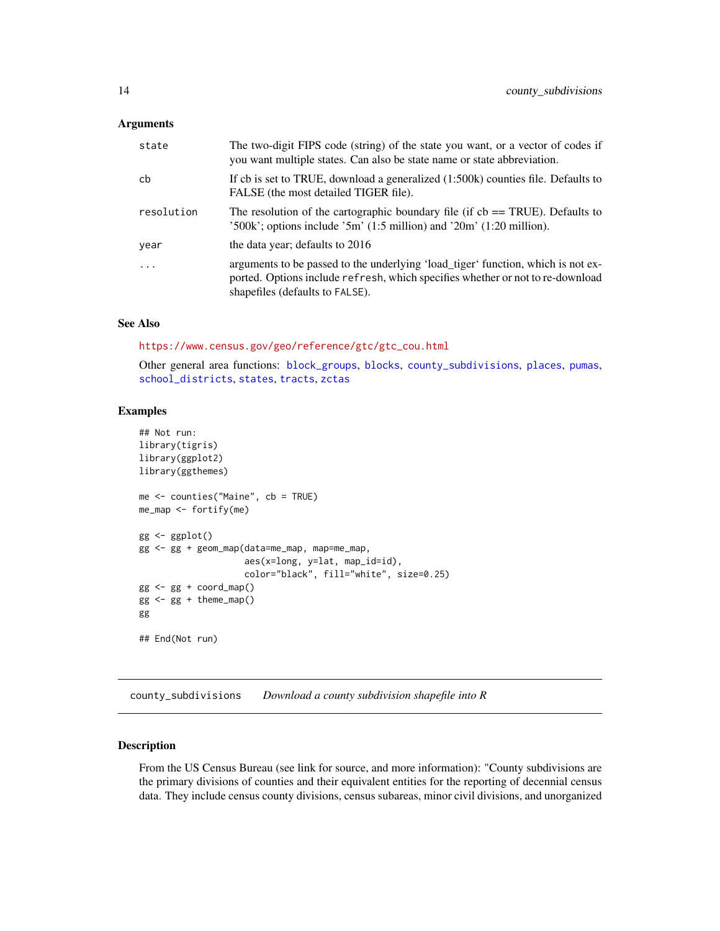#### <span id="page-13-0"></span>Arguments

| state      | The two-digit FIPS code (string) of the state you want, or a vector of codes if<br>you want multiple states. Can also be state name or state abbreviation.                                            |
|------------|-------------------------------------------------------------------------------------------------------------------------------------------------------------------------------------------------------|
| cb         | If cb is set to TRUE, download a generalized $(1:500k)$ counties file. Defaults to<br>FALSE (the most detailed TIGER file).                                                                           |
| resolution | The resolution of the cartographic boundary file (if $cb == TRUE$ ). Defaults to<br>$'500k'$ ; options include $'5m'$ (1:5 million) and $'20m'$ (1:20 million).                                       |
| year       | the data year; defaults to 2016                                                                                                                                                                       |
| .          | arguments to be passed to the underlying 'load_tiger' function, which is not ex-<br>ported. Options include refresh, which specifies whether or not to re-download<br>shapefiles (defaults to FALSE). |

# See Also

[https://www.census.gov/geo/reference/gtc/gtc\\_cou.html](https://www.census.gov/geo/reference/gtc/gtc_cou.html)

Other general area functions: [block\\_groups](#page-6-1), [blocks](#page-4-1), [county\\_subdivisions](#page-13-1), [places](#page-29-1), [pumas](#page-32-1), [school\\_districts](#page-37-1), [states](#page-38-1), [tracts](#page-42-1), [zctas](#page-48-1)

#### Examples

```
## Not run:
library(tigris)
library(ggplot2)
library(ggthemes)
me <- counties("Maine", cb = TRUE)
me_map <- fortify(me)
gg <- ggplot()
gg <- gg + geom_map(data=me_map, map=me_map,
                    aes(x=long, y=lat, map_id=id),
                    color="black", fill="white", size=0.25)
gg <- gg + coord_map()
gg <- gg + theme_map()
gg
## End(Not run)
```
<span id="page-13-1"></span>county\_subdivisions *Download a county subdivision shapefile into R*

# Description

From the US Census Bureau (see link for source, and more information): "County subdivisions are the primary divisions of counties and their equivalent entities for the reporting of decennial census data. They include census county divisions, census subareas, minor civil divisions, and unorganized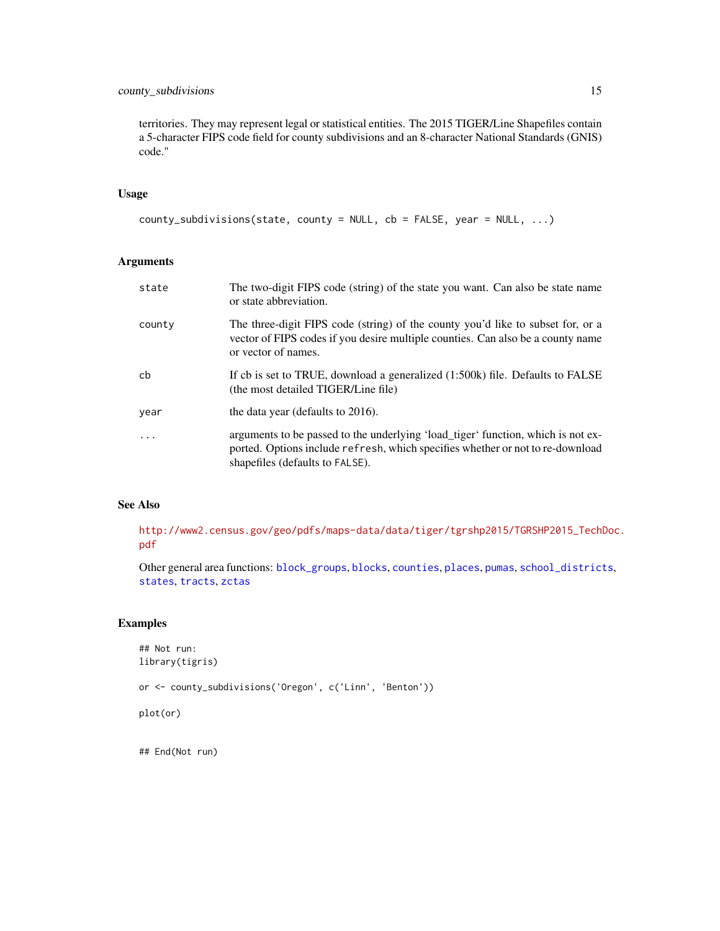# <span id="page-14-0"></span>county\_subdivisions 15

territories. They may represent legal or statistical entities. The 2015 TIGER/Line Shapefiles contain a 5-character FIPS code field for county subdivisions and an 8-character National Standards (GNIS) code."

# Usage

```
county_subdivisions(state, county = NULL, cb = FALSE, year = NULL, ...)
```
# Arguments

| state      | The two-digit FIPS code (string) of the state you want. Can also be state name<br>or state abbreviation.                                                                                              |
|------------|-------------------------------------------------------------------------------------------------------------------------------------------------------------------------------------------------------|
| county     | The three-digit FIPS code (string) of the county you'd like to subset for, or a<br>vector of FIPS codes if you desire multiple counties. Can also be a county name<br>or vector of names.             |
| cb         | If cb is set to TRUE, download a generalized (1:500k) file. Defaults to FALSE<br>(the most detailed TIGER/Line file)                                                                                  |
| year       | the data year (defaults to 2016).                                                                                                                                                                     |
| $\ddots$ . | arguments to be passed to the underlying 'load_tiger' function, which is not ex-<br>ported. Options include refresh, which specifies whether or not to re-download<br>shapefiles (defaults to FALSE). |

# See Also

[http://www2.census.gov/geo/pdfs/maps-data/data/tiger/tgrshp2015/TGRSHP2015\\_TechD](http://www2.census.gov/geo/pdfs/maps-data/data/tiger/tgrshp2015/TGRSHP2015_TechDoc.pdf)oc. [pdf](http://www2.census.gov/geo/pdfs/maps-data/data/tiger/tgrshp2015/TGRSHP2015_TechDoc.pdf)

Other general area functions: [block\\_groups](#page-6-1), [blocks](#page-4-1), [counties](#page-12-1), [places](#page-29-1), [pumas](#page-32-1), [school\\_districts](#page-37-1), [states](#page-38-1), [tracts](#page-42-1), [zctas](#page-48-1)

# Examples

```
## Not run:
library(tigris)
or <- county_subdivisions('Oregon', c('Linn', 'Benton'))
plot(or)
```
## End(Not run)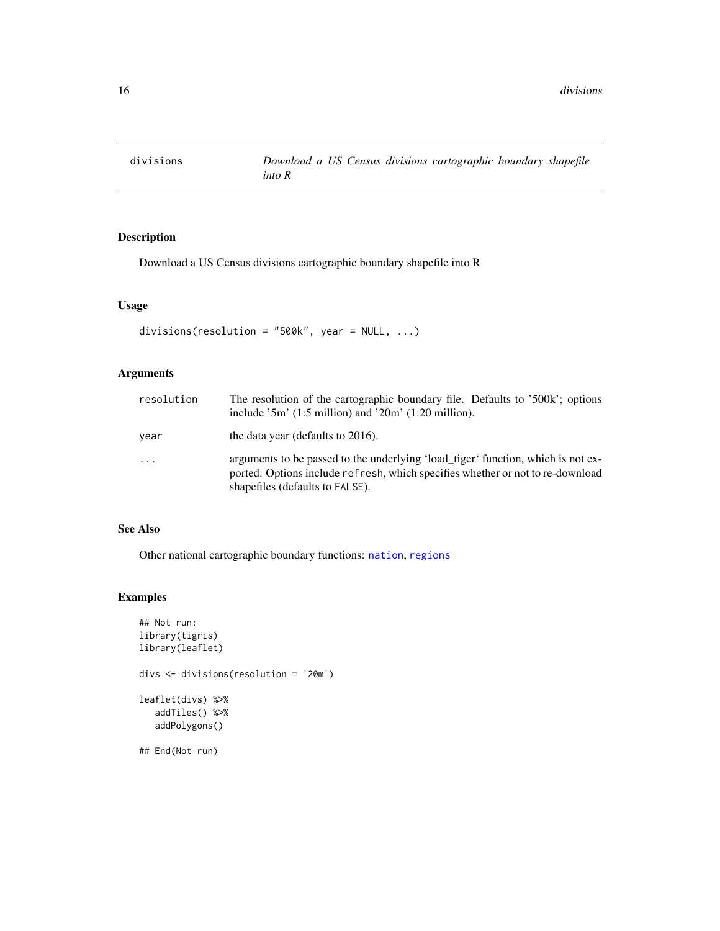<span id="page-15-1"></span><span id="page-15-0"></span>

Download a US Census divisions cartographic boundary shapefile into R

# Usage

```
divisions(resolution = "500k", year = NULL, ...)
```
# Arguments

| resolution | The resolution of the cartographic boundary file. Defaults to '500k'; options<br>include $3m'$ (1:5 million) and $20m'$ (1:20 million).                                                               |
|------------|-------------------------------------------------------------------------------------------------------------------------------------------------------------------------------------------------------|
| year       | the data year (defaults to 2016).                                                                                                                                                                     |
| $\ddots$   | arguments to be passed to the underlying 'load_tiger' function, which is not ex-<br>ported. Options include refresh, which specifies whether or not to re-download<br>shapefiles (defaults to FALSE). |

# See Also

Other national cartographic boundary functions: [nation](#page-26-1), [regions](#page-35-1)

```
## Not run:
library(tigris)
library(leaflet)
divs <- divisions(resolution = '20m')
leaflet(divs) %>%
   addTiles() %>%
   addPolygons()
## End(Not run)
```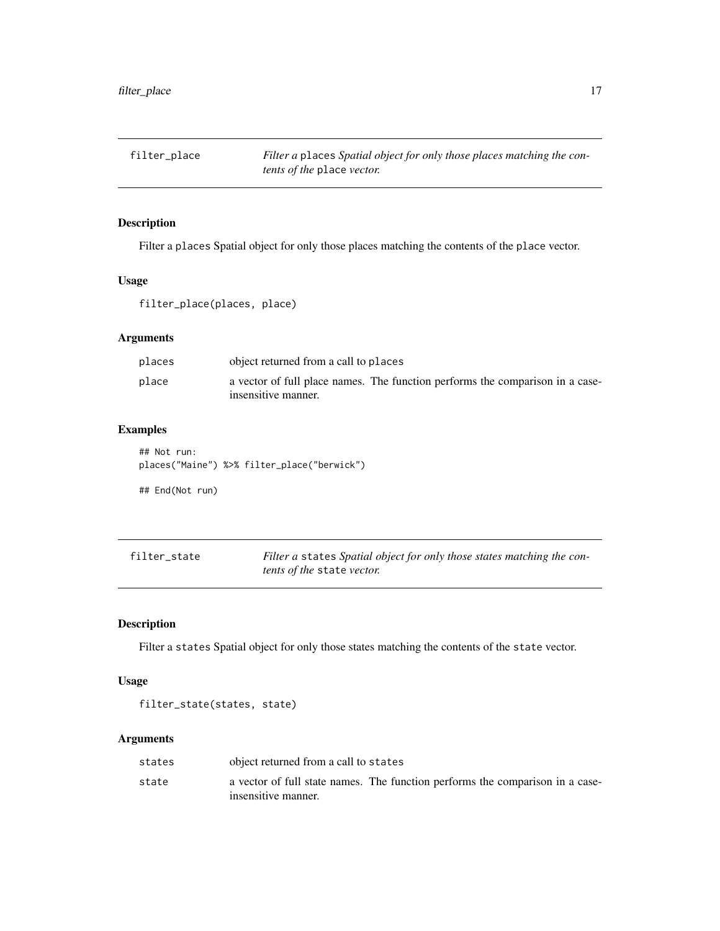<span id="page-16-0"></span>filter\_place *Filter a* places *Spatial object for only those places matching the contents of the* place *vector.*

# Description

Filter a places Spatial object for only those places matching the contents of the place vector.

# Usage

filter\_place(places, place)

# Arguments

| places | object returned from a call to places                                         |
|--------|-------------------------------------------------------------------------------|
| place  | a vector of full place names. The function performs the comparison in a case- |
|        | insensitive manner.                                                           |

# Examples

## Not run: places("Maine") %>% filter\_place("berwick")

## End(Not run)

| filter state | Filter a states Spatial object for only those states matching the con- |
|--------------|------------------------------------------------------------------------|
|              | <i>tents of the state vector.</i>                                      |

# Description

Filter a states Spatial object for only those states matching the contents of the state vector.

# Usage

```
filter_state(states, state)
```
# Arguments

| states | object returned from a call to states                                                                |
|--------|------------------------------------------------------------------------------------------------------|
| state  | a vector of full state names. The function performs the comparison in a case-<br>insensitive manner. |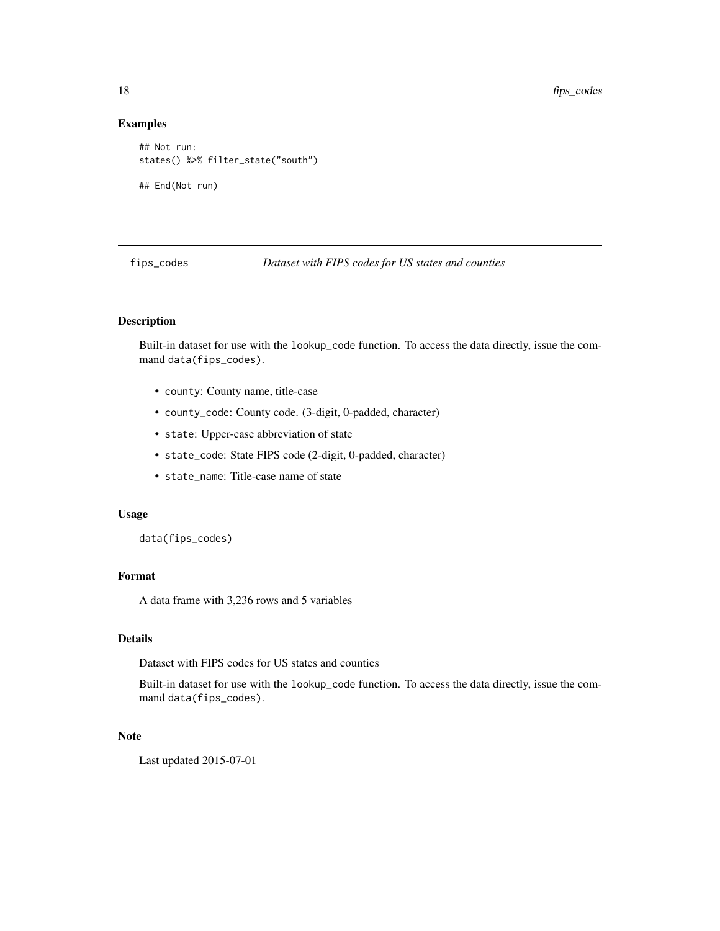# Examples

```
## Not run:
states() %>% filter_state("south")
## End(Not run)
```
fips\_codes *Dataset with FIPS codes for US states and counties*

# Description

Built-in dataset for use with the lookup\_code function. To access the data directly, issue the command data(fips\_codes).

- county: County name, title-case
- county\_code: County code. (3-digit, 0-padded, character)
- state: Upper-case abbreviation of state
- state\_code: State FIPS code (2-digit, 0-padded, character)
- state\_name: Title-case name of state

#### Usage

data(fips\_codes)

# Format

A data frame with 3,236 rows and 5 variables

#### Details

Dataset with FIPS codes for US states and counties

Built-in dataset for use with the lookup\_code function. To access the data directly, issue the command data(fips\_codes).

# Note

Last updated 2015-07-01

<span id="page-17-0"></span>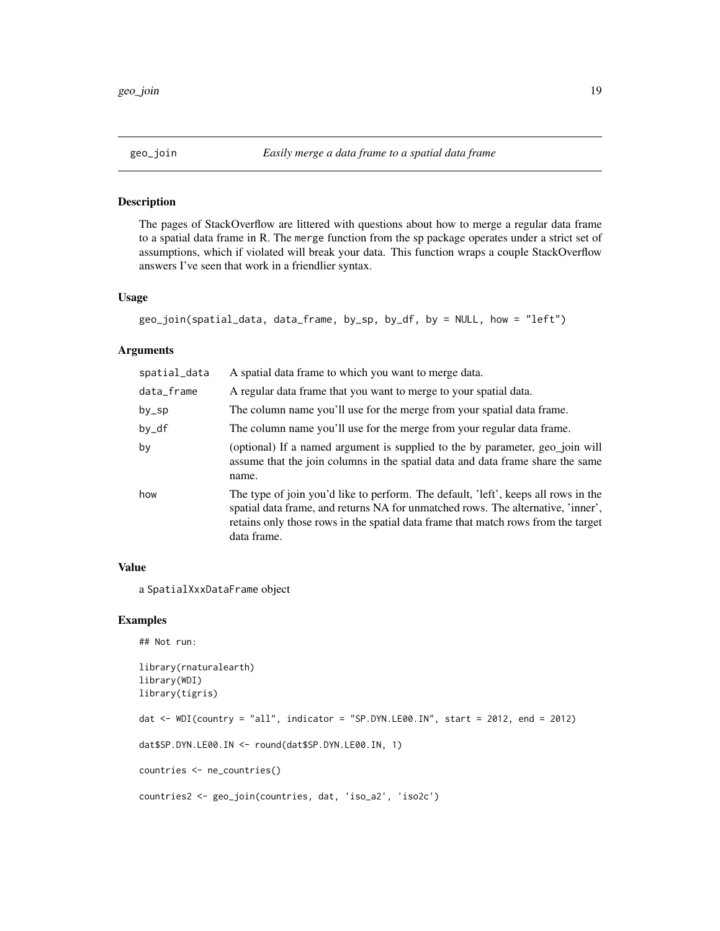<span id="page-18-0"></span>

The pages of StackOverflow are littered with questions about how to merge a regular data frame to a spatial data frame in R. The merge function from the sp package operates under a strict set of assumptions, which if violated will break your data. This function wraps a couple StackOverflow answers I've seen that work in a friendlier syntax.

#### Usage

```
geo_join(spatial_data, data_frame, by_sp, by_df, by = NULL, how = "left")
```
#### Arguments

| spatial_data | A spatial data frame to which you want to merge data.                                                                                                                                                                                                                      |
|--------------|----------------------------------------------------------------------------------------------------------------------------------------------------------------------------------------------------------------------------------------------------------------------------|
| data_frame   | A regular data frame that you want to merge to your spatial data.                                                                                                                                                                                                          |
| by_sp        | The column name you'll use for the merge from your spatial data frame.                                                                                                                                                                                                     |
| by_df        | The column name you'll use for the merge from your regular data frame.                                                                                                                                                                                                     |
| by           | (optional) If a named argument is supplied to the by parameter, geo_join will<br>assume that the join columns in the spatial data and data frame share the same<br>name.                                                                                                   |
| how          | The type of join you'd like to perform. The default, 'left', keeps all rows in the<br>spatial data frame, and returns NA for unmatched rows. The alternative, 'inner',<br>retains only those rows in the spatial data frame that match rows from the target<br>data frame. |

#### Value

a SpatialXxxDataFrame object

```
## Not run:
library(rnaturalearth)
library(WDI)
library(tigris)
dat \le WDI(country = "all", indicator = "SP.DYN.LE00.IN", start = 2012, end = 2012)
dat$SP.DYN.LE00.IN <- round(dat$SP.DYN.LE00.IN, 1)
countries <- ne_countries()
countries2 <- geo_join(countries, dat, 'iso_a2', 'iso2c')
```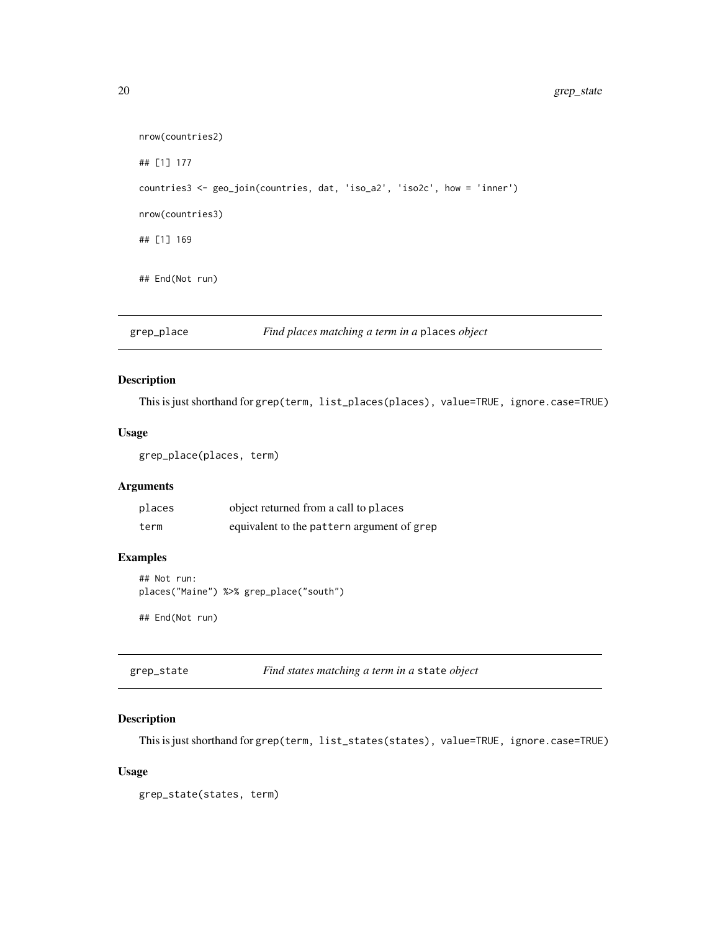```
nrow(countries2)
## [1] 177
countries3 <- geo_join(countries, dat, 'iso_a2', 'iso2c', how = 'inner')
nrow(countries3)
## [1] 169
## End(Not run)
```
grep\_place *Find places matching a term in a* places *object*

# Description

This is just shorthand for grep(term, list\_places(places), value=TRUE, ignore.case=TRUE)

# Usage

```
grep_place(places, term)
```
# Arguments

| places | object returned from a call to places      |
|--------|--------------------------------------------|
| term   | equivalent to the pattern argument of grep |

# Examples

```
## Not run:
places("Maine") %>% grep_place("south")
```
## End(Not run)

grep\_state *Find states matching a term in a* state *object*

# Description

This is just shorthand for grep(term, list\_states(states), value=TRUE, ignore.case=TRUE)

#### Usage

grep\_state(states, term)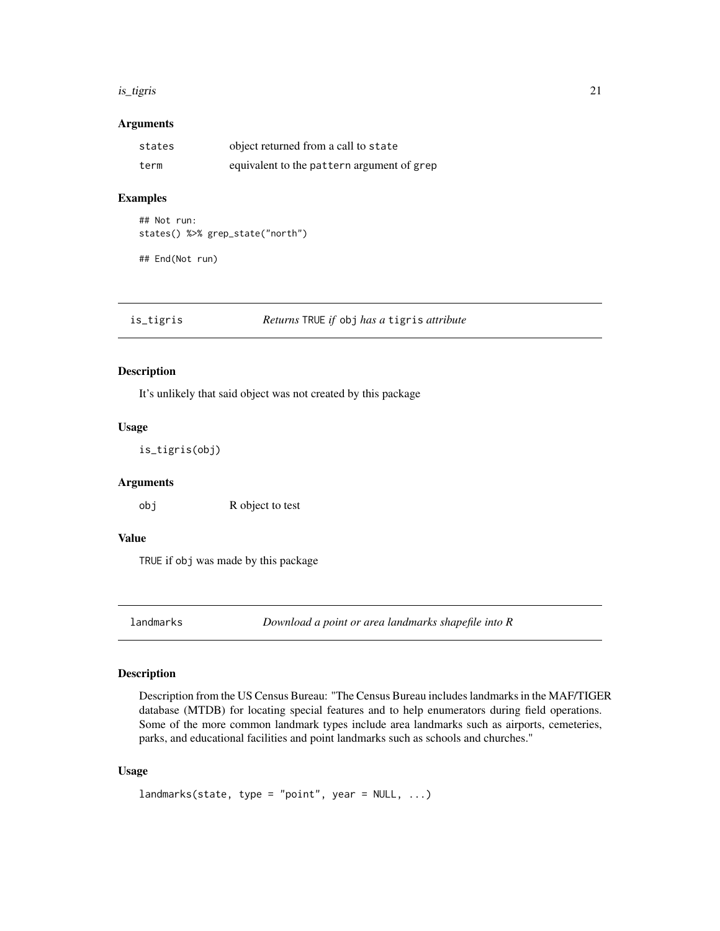#### <span id="page-20-0"></span>is\_tigris 21

# Arguments

| states | object returned from a call to state       |
|--------|--------------------------------------------|
| term   | equivalent to the pattern argument of grep |

#### Examples

```
## Not run:
states() %>% grep_state("north")
```
## End(Not run)

is\_tigris *Returns* TRUE *if* obj *has a* tigris *attribute*

#### Description

It's unlikely that said object was not created by this package

# Usage

is\_tigris(obj)

# Arguments

obj R object to test

# Value

TRUE if obj was made by this package

landmarks *Download a point or area landmarks shapefile into R*

# Description

Description from the US Census Bureau: "The Census Bureau includes landmarks in the MAF/TIGER database (MTDB) for locating special features and to help enumerators during field operations. Some of the more common landmark types include area landmarks such as airports, cemeteries, parks, and educational facilities and point landmarks such as schools and churches."

# Usage

```
landmarks(state, type = "point", year = NULL, ...)
```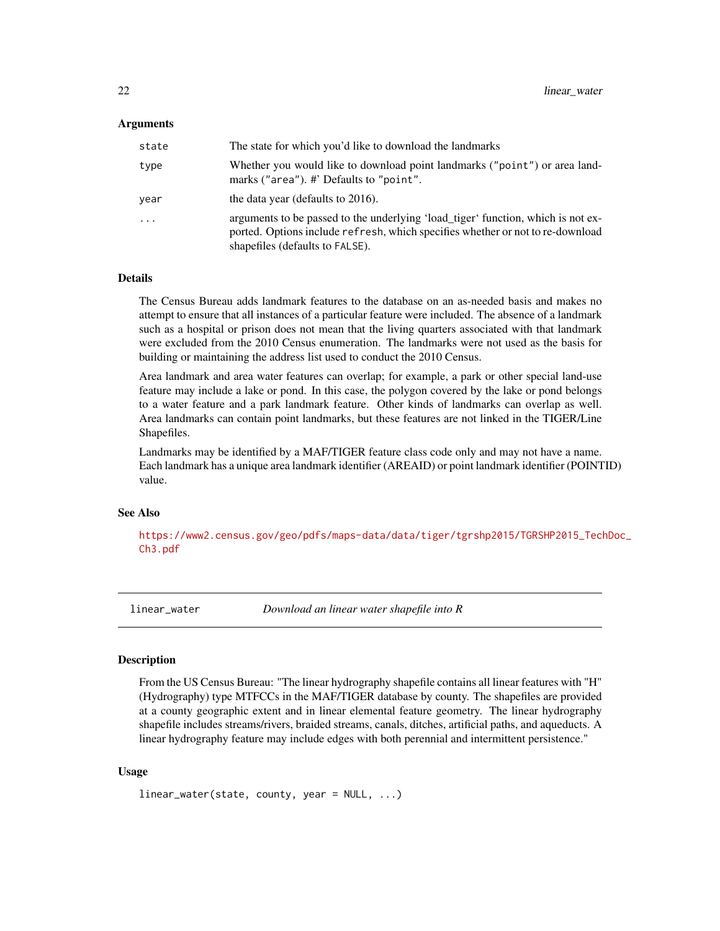#### <span id="page-21-0"></span>Arguments

| state | The state for which you'd like to download the landmarks                                                                                                                                              |
|-------|-------------------------------------------------------------------------------------------------------------------------------------------------------------------------------------------------------|
| type  | Whether you would like to download point landmarks ("point") or area land-<br>marks ("area"). #' Defaults to "point".                                                                                 |
| vear  | the data year (defaults to 2016).                                                                                                                                                                     |
| .     | arguments to be passed to the underlying 'load_tiger' function, which is not ex-<br>ported. Options include refresh, which specifies whether or not to re-download<br>shapefiles (defaults to FALSE). |

# Details

The Census Bureau adds landmark features to the database on an as-needed basis and makes no attempt to ensure that all instances of a particular feature were included. The absence of a landmark such as a hospital or prison does not mean that the living quarters associated with that landmark were excluded from the 2010 Census enumeration. The landmarks were not used as the basis for building or maintaining the address list used to conduct the 2010 Census.

Area landmark and area water features can overlap; for example, a park or other special land-use feature may include a lake or pond. In this case, the polygon covered by the lake or pond belongs to a water feature and a park landmark feature. Other kinds of landmarks can overlap as well. Area landmarks can contain point landmarks, but these features are not linked in the TIGER/Line Shapefiles.

Landmarks may be identified by a MAF/TIGER feature class code only and may not have a name. Each landmark has a unique area landmark identifier (AREAID) or point landmark identifier (POINTID) value.

#### See Also

[https://www2.census.gov/geo/pdfs/maps-data/data/tiger/tgrshp2015/TGRSHP2015\\_Tech](https://www2.census.gov/geo/pdfs/maps-data/data/tiger/tgrshp2015/TGRSHP2015_TechDoc_Ch3.pdf)Doc\_ [Ch3.pdf](https://www2.census.gov/geo/pdfs/maps-data/data/tiger/tgrshp2015/TGRSHP2015_TechDoc_Ch3.pdf)

<span id="page-21-1"></span>linear\_water *Download an linear water shapefile into R*

#### Description

From the US Census Bureau: "The linear hydrography shapefile contains all linear features with "H" (Hydrography) type MTFCCs in the MAF/TIGER database by county. The shapefiles are provided at a county geographic extent and in linear elemental feature geometry. The linear hydrography shapefile includes streams/rivers, braided streams, canals, ditches, artificial paths, and aqueducts. A linear hydrography feature may include edges with both perennial and intermittent persistence."

#### Usage

```
linear_water(state, county, year = NULL, ...)
```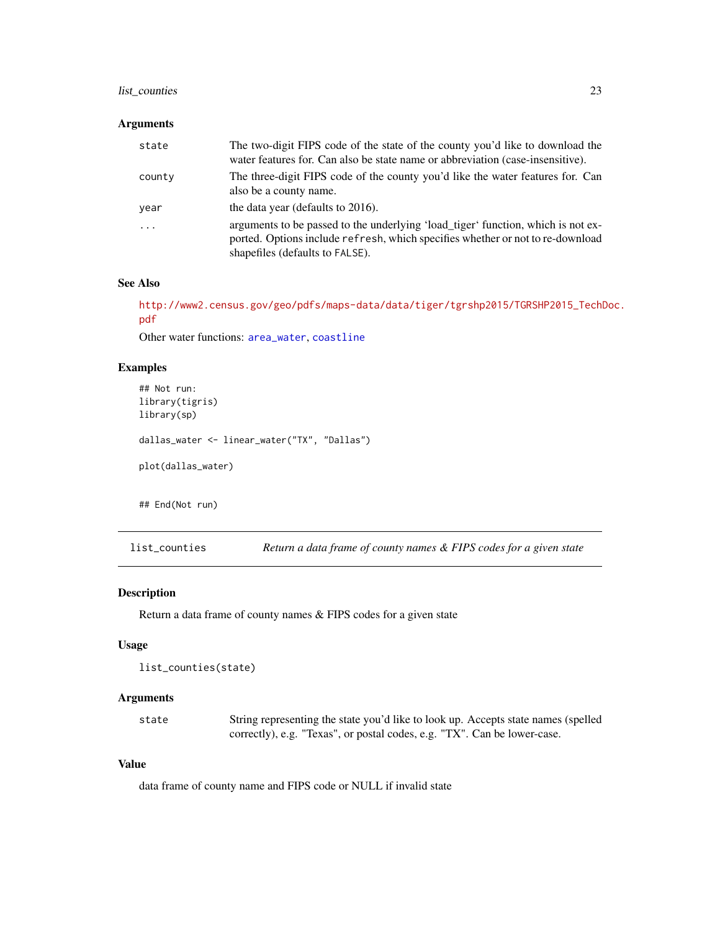# <span id="page-22-0"></span>list\_counties 23

# Arguments

| state    | The two-digit FIPS code of the state of the county you'd like to download the<br>water features for. Can also be state name or abbreviation (case-insensitive).                                       |
|----------|-------------------------------------------------------------------------------------------------------------------------------------------------------------------------------------------------------|
| county   | The three-digit FIPS code of the county you'd like the water features for. Can<br>also be a county name.                                                                                              |
| year     | the data year (defaults to 2016).                                                                                                                                                                     |
| $\ddots$ | arguments to be passed to the underlying 'load_tiger' function, which is not ex-<br>ported. Options include refresh, which specifies whether or not to re-download<br>shapefiles (defaults to FALSE). |

# See Also

[http://www2.census.gov/geo/pdfs/maps-data/data/tiger/tgrshp2015/TGRSHP2015\\_TechD](http://www2.census.gov/geo/pdfs/maps-data/data/tiger/tgrshp2015/TGRSHP2015_TechDoc.pdf)oc. [pdf](http://www2.census.gov/geo/pdfs/maps-data/data/tiger/tgrshp2015/TGRSHP2015_TechDoc.pdf)

Other water functions: [area\\_water](#page-3-1), [coastline](#page-8-1)

# Examples

```
## Not run:
library(tigris)
library(sp)
dallas_water <- linear_water("TX", "Dallas")
plot(dallas_water)
## End(Not run)
```
list\_counties *Return a data frame of county names & FIPS codes for a given state*

#### Description

Return a data frame of county names & FIPS codes for a given state

#### Usage

```
list_counties(state)
```
# Arguments

state String representing the state you'd like to look up. Accepts state names (spelled correctly), e.g. "Texas", or postal codes, e.g. "TX". Can be lower-case.

# Value

data frame of county name and FIPS code or NULL if invalid state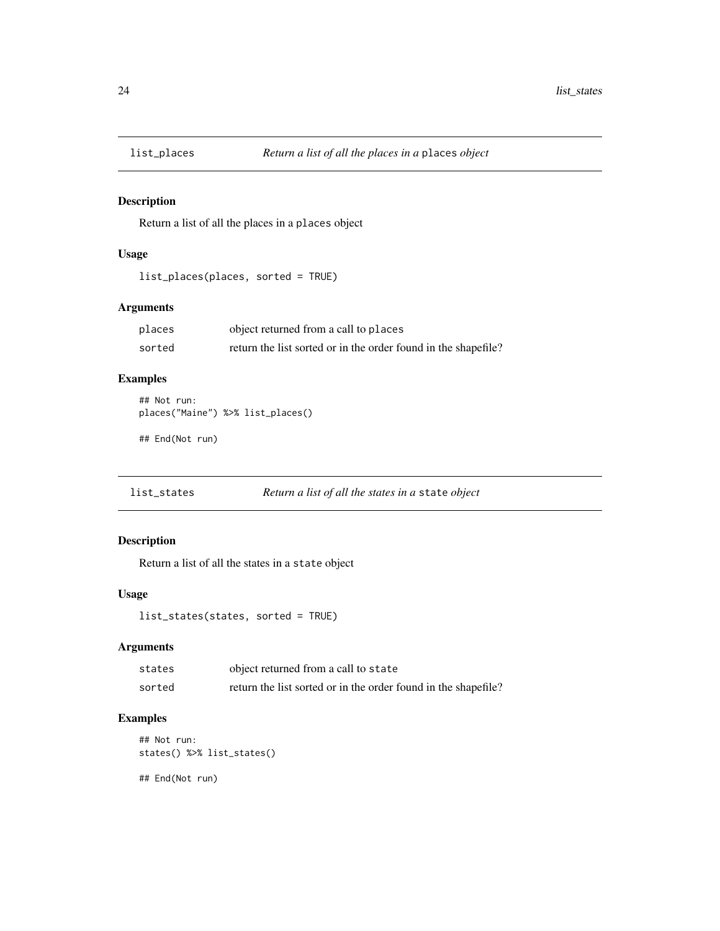<span id="page-23-0"></span>

Return a list of all the places in a places object

# Usage

```
list_places(places, sorted = TRUE)
```
# Arguments

| places | object returned from a call to places                          |
|--------|----------------------------------------------------------------|
| sorted | return the list sorted or in the order found in the shapefile? |

# Examples

```
## Not run:
places("Maine") %>% list_places()
```
## End(Not run)

list\_states *Return a list of all the states in a* state *object*

# Description

Return a list of all the states in a state object

# Usage

```
list_states(states, sorted = TRUE)
```
# Arguments

| states | object returned from a call to state                           |
|--------|----------------------------------------------------------------|
| sorted | return the list sorted or in the order found in the shapefile? |

# Examples

```
## Not run:
states() %>% list_states()
```
## End(Not run)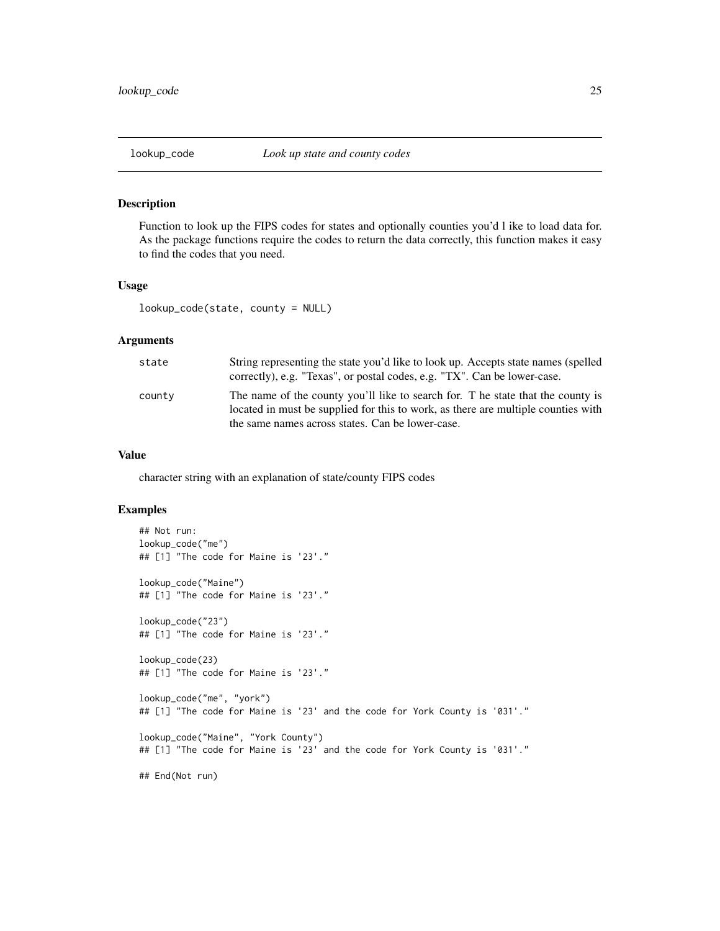<span id="page-24-0"></span>Function to look up the FIPS codes for states and optionally counties you'd l ike to load data for. As the package functions require the codes to return the data correctly, this function makes it easy to find the codes that you need.

# Usage

lookup\_code(state, county = NULL)

#### Arguments

| state  | String representing the state you'd like to look up. Accepts state names (spelled<br>correctly), e.g. "Texas", or postal codes, e.g. "TX". Can be lower-case.                                                            |
|--------|--------------------------------------------------------------------------------------------------------------------------------------------------------------------------------------------------------------------------|
| county | The name of the county you'll like to search for. T he state that the county is<br>located in must be supplied for this to work, as there are multiple counties with<br>the same names across states. Can be lower-case. |

#### Value

character string with an explanation of state/county FIPS codes

```
## Not run:
lookup_code("me")
## [1] "The code for Maine is '23'."
lookup_code("Maine")
## [1] "The code for Maine is '23'."
lookup_code("23")
## [1] "The code for Maine is '23'."
lookup_code(23)
## [1] "The code for Maine is '23'."
lookup_code("me", "york")
## [1] "The code for Maine is '23' and the code for York County is '031'."
lookup_code("Maine", "York County")
## [1] "The code for Maine is '23' and the code for York County is '031'."
## End(Not run)
```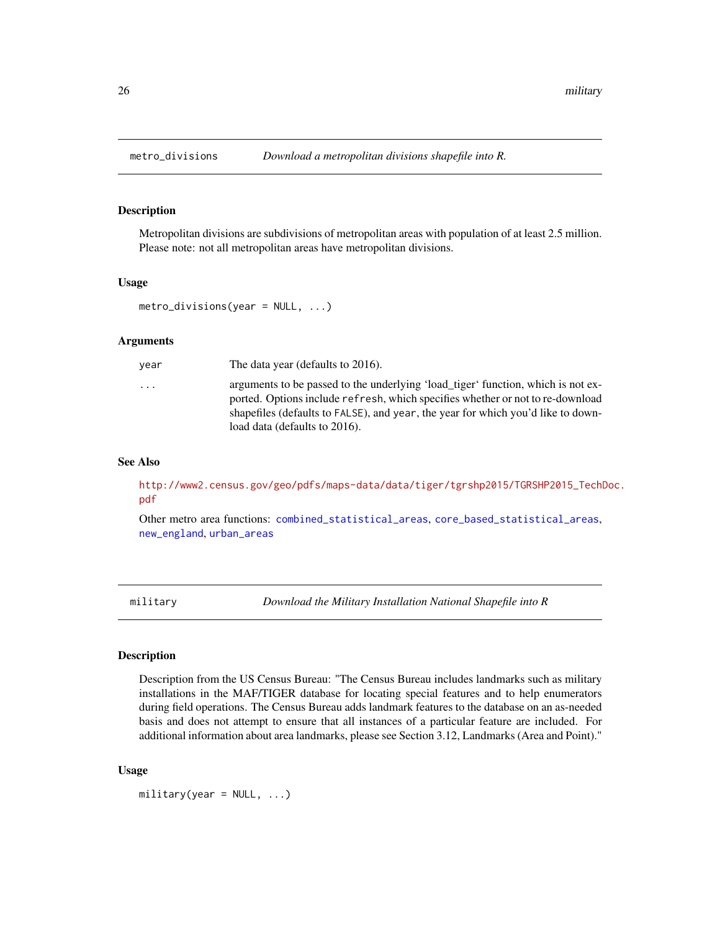<span id="page-25-1"></span><span id="page-25-0"></span>

Metropolitan divisions are subdivisions of metropolitan areas with population of at least 2.5 million. Please note: not all metropolitan areas have metropolitan divisions.

#### Usage

```
metro_divisions(year = NULL, ...)
```
#### Arguments

| vear | The data year (defaults to 2016).                                                                                                                                                                                                                                                       |
|------|-----------------------------------------------------------------------------------------------------------------------------------------------------------------------------------------------------------------------------------------------------------------------------------------|
| .    | arguments to be passed to the underlying 'load_tiger' function, which is not ex-<br>ported. Options include refresh, which specifies whether or not to re-download<br>shapefiles (defaults to FALSE), and year, the year for which you'd like to down-<br>load data (defaults to 2016). |
|      |                                                                                                                                                                                                                                                                                         |

#### See Also

[http://www2.census.gov/geo/pdfs/maps-data/data/tiger/tgrshp2015/TGRSHP2015\\_TechD](http://www2.census.gov/geo/pdfs/maps-data/data/tiger/tgrshp2015/TGRSHP2015_TechDoc.pdf)oc. [pdf](http://www2.census.gov/geo/pdfs/maps-data/data/tiger/tgrshp2015/TGRSHP2015_TechDoc.pdf)

Other metro area functions: [combined\\_statistical\\_areas](#page-9-1), [core\\_based\\_statistical\\_areas](#page-11-1), [new\\_england](#page-28-1), [urban\\_areas](#page-47-1)

military *Download the Military Installation National Shapefile into R*

### Description

Description from the US Census Bureau: "The Census Bureau includes landmarks such as military installations in the MAF/TIGER database for locating special features and to help enumerators during field operations. The Census Bureau adds landmark features to the database on an as-needed basis and does not attempt to ensure that all instances of a particular feature are included. For additional information about area landmarks, please see Section 3.12, Landmarks (Area and Point)."

# Usage

 $mility(year = NULL, ...)$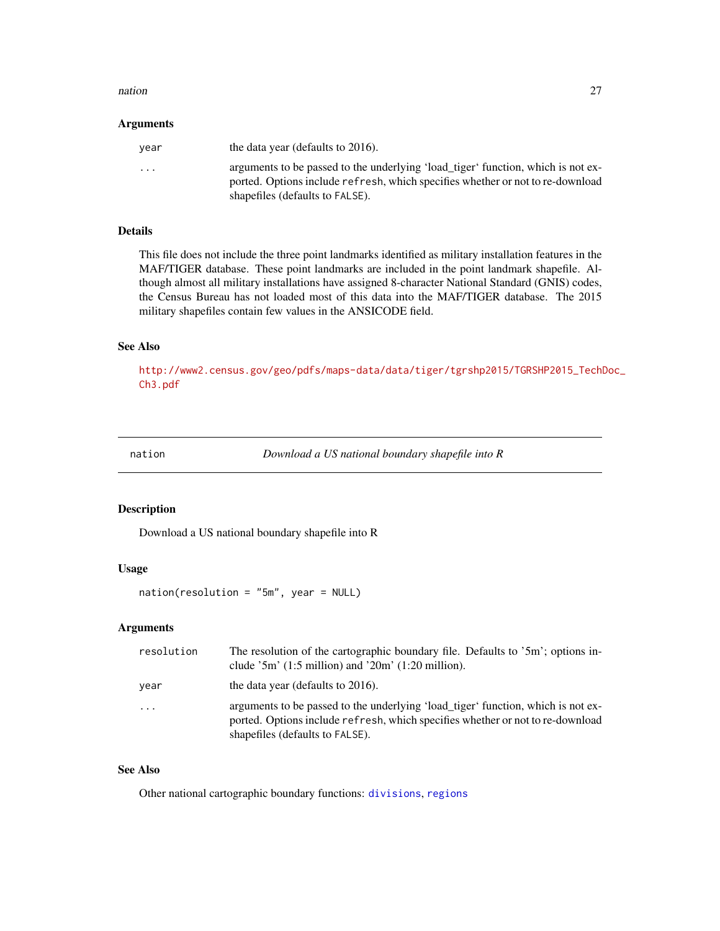#### <span id="page-26-0"></span>nation 27

#### Arguments

| vear                    | the data year (defaults to 2016).                                                                                                                                                                     |
|-------------------------|-------------------------------------------------------------------------------------------------------------------------------------------------------------------------------------------------------|
| $\cdot$ $\cdot$ $\cdot$ | arguments to be passed to the underlying 'load_tiger' function, which is not ex-<br>ported. Options include refresh, which specifies whether or not to re-download<br>shapefiles (defaults to FALSE). |

#### Details

This file does not include the three point landmarks identified as military installation features in the MAF/TIGER database. These point landmarks are included in the point landmark shapefile. Although almost all military installations have assigned 8-character National Standard (GNIS) codes, the Census Bureau has not loaded most of this data into the MAF/TIGER database. The 2015 military shapefiles contain few values in the ANSICODE field.

#### See Also

[http://www2.census.gov/geo/pdfs/maps-data/data/tiger/tgrshp2015/TGRSHP2015\\_TechD](http://www2.census.gov/geo/pdfs/maps-data/data/tiger/tgrshp2015/TGRSHP2015_TechDoc_Ch3.pdf)oc\_ [Ch3.pdf](http://www2.census.gov/geo/pdfs/maps-data/data/tiger/tgrshp2015/TGRSHP2015_TechDoc_Ch3.pdf)

<span id="page-26-1"></span>nation *Download a US national boundary shapefile into R*

#### Description

Download a US national boundary shapefile into R

# Usage

nation(resolution = "5m", year = NULL)

# Arguments

| resolution              | The resolution of the cartographic boundary file. Defaults to '5m'; options in-<br>clude $3m'$ (1:5 million) and $20m'$ (1:20 million).                                                               |
|-------------------------|-------------------------------------------------------------------------------------------------------------------------------------------------------------------------------------------------------|
| year                    | the data year (defaults to 2016).                                                                                                                                                                     |
| $\cdot$ $\cdot$ $\cdot$ | arguments to be passed to the underlying 'load_tiger' function, which is not ex-<br>ported. Options include refresh, which specifies whether or not to re-download<br>shapefiles (defaults to FALSE). |

# See Also

Other national cartographic boundary functions: [divisions](#page-15-1), [regions](#page-35-1)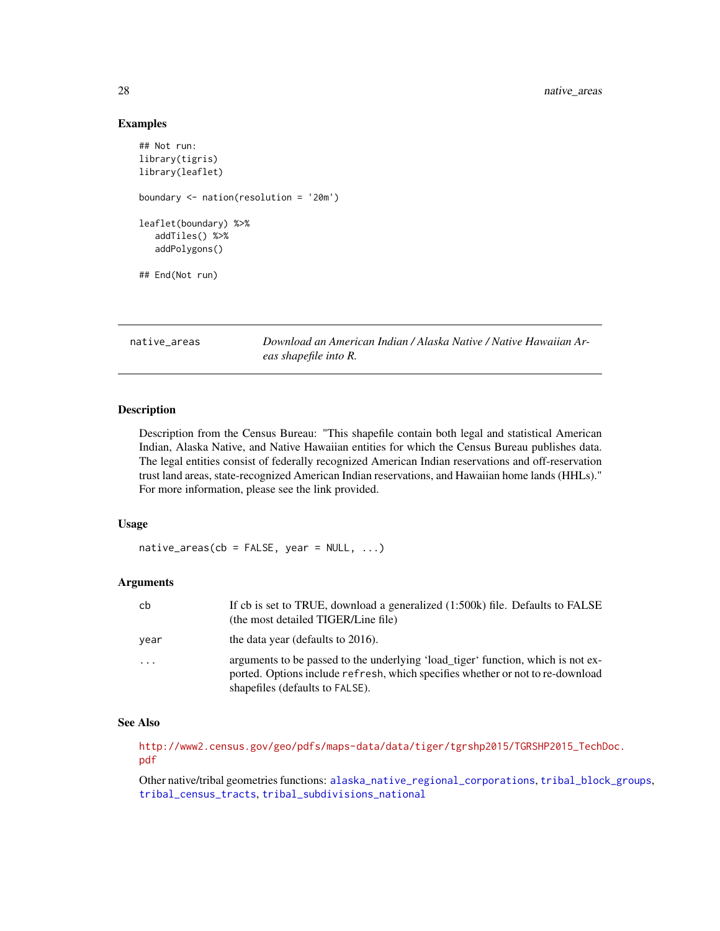#### Examples

```
## Not run:
library(tigris)
library(leaflet)
boundary <- nation(resolution = '20m')
leaflet(boundary) %>%
   addTiles() %>%
   addPolygons()
## End(Not run)
```
<span id="page-27-1"></span>native\_areas *Download an American Indian / Alaska Native / Native Hawaiian Areas shapefile into R.*

#### Description

Description from the Census Bureau: "This shapefile contain both legal and statistical American Indian, Alaska Native, and Native Hawaiian entities for which the Census Bureau publishes data. The legal entities consist of federally recognized American Indian reservations and off-reservation trust land areas, state-recognized American Indian reservations, and Hawaiian home lands (HHLs)." For more information, please see the link provided.

### Usage

 $native_{\text{ar}}(cb = FALSE, year = NULL, ...)$ 

#### Arguments

| cb       | If cb is set to TRUE, download a generalized (1:500k) file. Defaults to FALSE<br>(the most detailed TIGER/Line file)                                                                                  |
|----------|-------------------------------------------------------------------------------------------------------------------------------------------------------------------------------------------------------|
| vear     | the data year (defaults to 2016).                                                                                                                                                                     |
| $\cdots$ | arguments to be passed to the underlying 'load_tiger' function, which is not ex-<br>ported. Options include refresh, which specifies whether or not to re-download<br>shapefiles (defaults to FALSE). |

#### See Also

[http://www2.census.gov/geo/pdfs/maps-data/data/tiger/tgrshp2015/TGRSHP2015\\_TechD](http://www2.census.gov/geo/pdfs/maps-data/data/tiger/tgrshp2015/TGRSHP2015_TechDoc.pdf)oc. [pdf](http://www2.census.gov/geo/pdfs/maps-data/data/tiger/tgrshp2015/TGRSHP2015_TechDoc.pdf)

Other native/tribal geometries functions: [alaska\\_native\\_regional\\_corporations](#page-2-1), [tribal\\_block\\_groups](#page-44-1), [tribal\\_census\\_tracts](#page-45-1), [tribal\\_subdivisions\\_national](#page-46-1)

<span id="page-27-0"></span>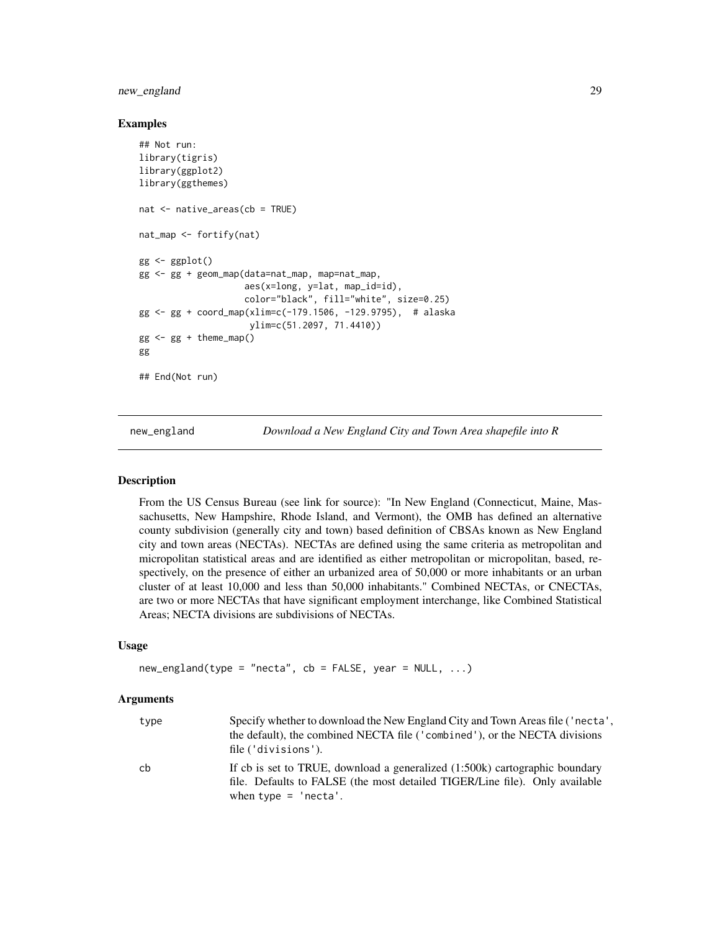# <span id="page-28-0"></span>new\_england 29

#### Examples

```
## Not run:
library(tigris)
library(ggplot2)
library(ggthemes)
nat <- native_areas(cb = TRUE)
nat_map <- fortify(nat)
gg <- ggplot()
gg <- gg + geom_map(data=nat_map, map=nat_map,
                    aes(x=long, y=lat, map_id=id),
                    color="black", fill="white", size=0.25)
gg <- gg + coord_map(xlim=c(-179.1506, -129.9795), # alaska
                     ylim=c(51.2097, 71.4410))
gg < - gg + theme_map()gg
## End(Not run)
```
<span id="page-28-1"></span>

new\_england *Download a New England City and Town Area shapefile into R*

#### **Description**

From the US Census Bureau (see link for source): "In New England (Connecticut, Maine, Massachusetts, New Hampshire, Rhode Island, and Vermont), the OMB has defined an alternative county subdivision (generally city and town) based definition of CBSAs known as New England city and town areas (NECTAs). NECTAs are defined using the same criteria as metropolitan and micropolitan statistical areas and are identified as either metropolitan or micropolitan, based, respectively, on the presence of either an urbanized area of 50,000 or more inhabitants or an urban cluster of at least 10,000 and less than 50,000 inhabitants." Combined NECTAs, or CNECTAs, are two or more NECTAs that have significant employment interchange, like Combined Statistical Areas; NECTA divisions are subdivisions of NECTAs.

#### Usage

```
new\_england(type = "necta", cb = FALSE, year = NULL, ...)
```
# Arguments

| type | Specify whether to download the New England City and Town Areas file ('necta',<br>the default), the combined NECTA file ('combined'), or the NECTA divisions<br>file ('divisions').  |
|------|--------------------------------------------------------------------------------------------------------------------------------------------------------------------------------------|
| cb   | If cb is set to TRUE, download a generalized (1:500k) cartographic boundary<br>file. Defaults to FALSE (the most detailed TIGER/Line file). Only available<br>when type $=$ 'necta'. |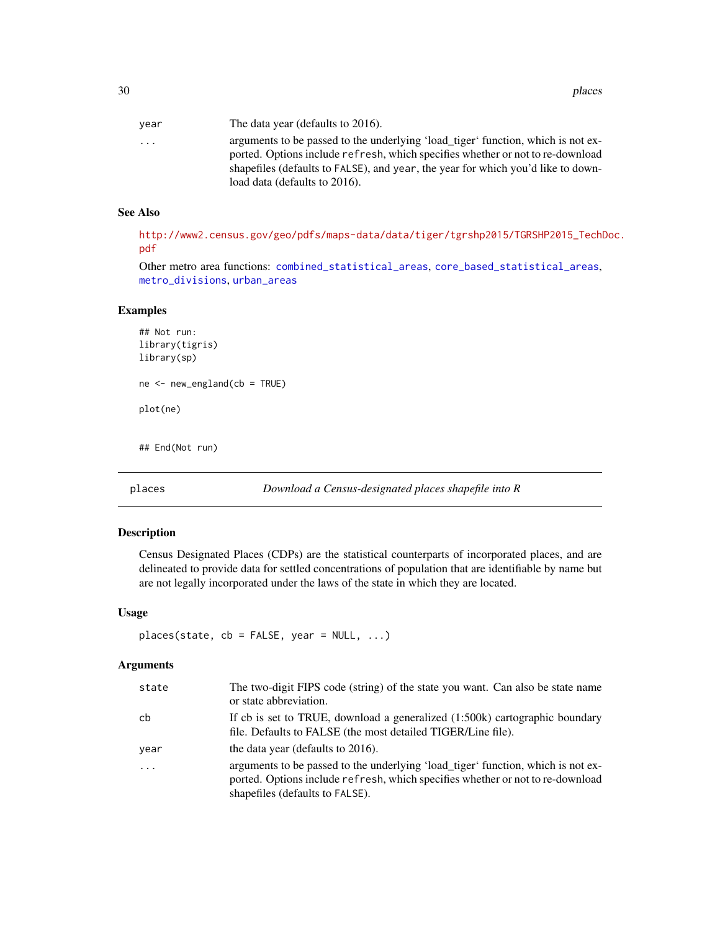<span id="page-29-0"></span>

| vear      | The data year (defaults to 2016).                                                |
|-----------|----------------------------------------------------------------------------------|
| $\ddotsc$ | arguments to be passed to the underlying 'load_tiger' function, which is not ex- |
|           | ported. Options include refresh, which specifies whether or not to re-download   |
|           | shapefiles (defaults to FALSE), and year, the year for which you'd like to down- |
|           | load data (defaults to 2016).                                                    |

#### See Also

[http://www2.census.gov/geo/pdfs/maps-data/data/tiger/tgrshp2015/TGRSHP2015\\_TechD](http://www2.census.gov/geo/pdfs/maps-data/data/tiger/tgrshp2015/TGRSHP2015_TechDoc.pdf)oc. [pdf](http://www2.census.gov/geo/pdfs/maps-data/data/tiger/tgrshp2015/TGRSHP2015_TechDoc.pdf)

Other metro area functions: [combined\\_statistical\\_areas](#page-9-1), [core\\_based\\_statistical\\_areas](#page-11-1), [metro\\_divisions](#page-25-1), [urban\\_areas](#page-47-1)

#### Examples

```
## Not run:
library(tigris)
library(sp)
ne <- new_england(cb = TRUE)
plot(ne)
```
<span id="page-29-1"></span>

## End(Not run)

places *Download a Census-designated places shapefile into R*

#### Description

Census Designated Places (CDPs) are the statistical counterparts of incorporated places, and are delineated to provide data for settled concentrations of population that are identifiable by name but are not legally incorporated under the laws of the state in which they are located.

# Usage

```
places(state, cb = FALSE, year = NULL, ...)
```
# Arguments

| state      | The two-digit FIPS code (string) of the state you want. Can also be state name<br>or state abbreviation.                                                                                              |
|------------|-------------------------------------------------------------------------------------------------------------------------------------------------------------------------------------------------------|
| cb         | If cb is set to TRUE, download a generalized (1:500k) cartographic boundary<br>file. Defaults to FALSE (the most detailed TIGER/Line file).                                                           |
| year       | the data year (defaults to 2016).                                                                                                                                                                     |
| $\ddots$ . | arguments to be passed to the underlying 'load_tiger' function, which is not ex-<br>ported. Options include refresh, which specifies whether or not to re-download<br>shapefiles (defaults to FALSE). |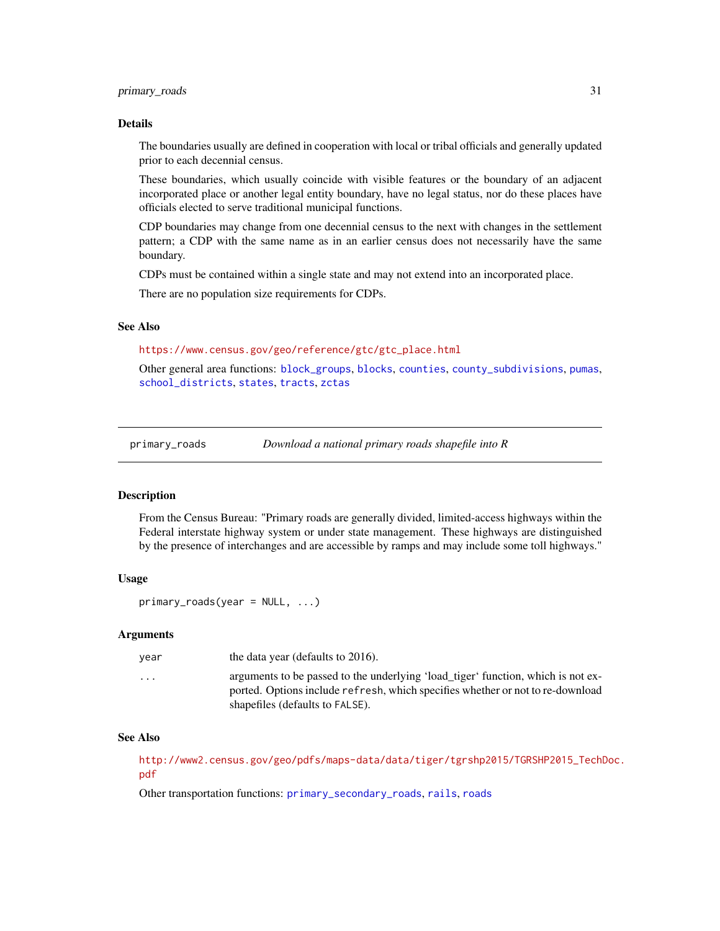# <span id="page-30-0"></span>primary\_roads 31

#### Details

The boundaries usually are defined in cooperation with local or tribal officials and generally updated prior to each decennial census.

These boundaries, which usually coincide with visible features or the boundary of an adjacent incorporated place or another legal entity boundary, have no legal status, nor do these places have officials elected to serve traditional municipal functions.

CDP boundaries may change from one decennial census to the next with changes in the settlement pattern; a CDP with the same name as in an earlier census does not necessarily have the same boundary.

CDPs must be contained within a single state and may not extend into an incorporated place.

There are no population size requirements for CDPs.

#### See Also

[https://www.census.gov/geo/reference/gtc/gtc\\_place.html](https://www.census.gov/geo/reference/gtc/gtc_place.html)

Other general area functions: [block\\_groups](#page-6-1), [blocks](#page-4-1), [counties](#page-12-1), [county\\_subdivisions](#page-13-1), [pumas](#page-32-1), [school\\_districts](#page-37-1), [states](#page-38-1), [tracts](#page-42-1), [zctas](#page-48-1)

<span id="page-30-1"></span>primary\_roads *Download a national primary roads shapefile into R*

#### Description

From the Census Bureau: "Primary roads are generally divided, limited-access highways within the Federal interstate highway system or under state management. These highways are distinguished by the presence of interchanges and are accessible by ramps and may include some toll highways."

#### Usage

primary\_roads(year = NULL, ...)

#### Arguments

| vear                 | the data year (defaults to 2016).                                                                                                                                                                     |
|----------------------|-------------------------------------------------------------------------------------------------------------------------------------------------------------------------------------------------------|
| $\ddot{\phantom{0}}$ | arguments to be passed to the underlying 'load_tiger' function, which is not ex-<br>ported. Options include refresh, which specifies whether or not to re-download<br>shapefiles (defaults to FALSE). |
|                      |                                                                                                                                                                                                       |

#### See Also

[http://www2.census.gov/geo/pdfs/maps-data/data/tiger/tgrshp2015/TGRSHP2015\\_TechD](http://www2.census.gov/geo/pdfs/maps-data/data/tiger/tgrshp2015/TGRSHP2015_TechDoc.pdf)oc. [pdf](http://www2.census.gov/geo/pdfs/maps-data/data/tiger/tgrshp2015/TGRSHP2015_TechDoc.pdf)

Other transportation functions: [primary\\_secondary\\_roads](#page-31-1), [rails](#page-33-1), [roads](#page-36-1)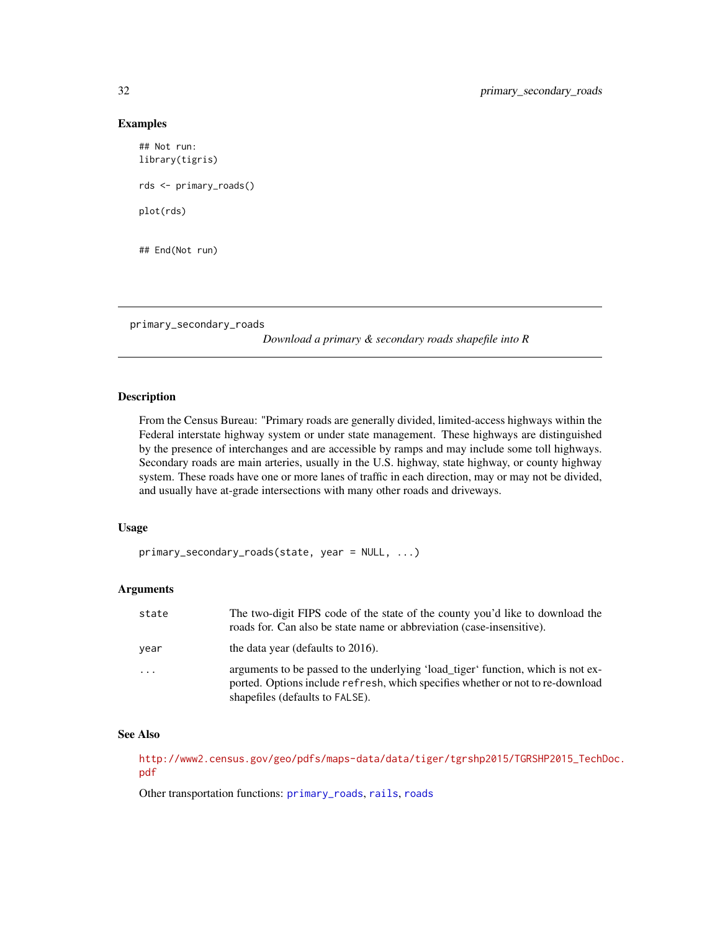#### Examples

```
## Not run:
library(tigris)
rds <- primary_roads()
plot(rds)
## End(Not run)
```
<span id="page-31-1"></span>primary\_secondary\_roads

*Download a primary & secondary roads shapefile into R*

#### Description

From the Census Bureau: "Primary roads are generally divided, limited-access highways within the Federal interstate highway system or under state management. These highways are distinguished by the presence of interchanges and are accessible by ramps and may include some toll highways. Secondary roads are main arteries, usually in the U.S. highway, state highway, or county highway system. These roads have one or more lanes of traffic in each direction, may or may not be divided, and usually have at-grade intersections with many other roads and driveways.

#### Usage

```
primary_secondary_roads(state, year = NULL, ...)
```
#### Arguments

| state    | The two-digit FIPS code of the state of the county you'd like to download the<br>roads for. Can also be state name or abbreviation (case-insensitive).                                                |
|----------|-------------------------------------------------------------------------------------------------------------------------------------------------------------------------------------------------------|
| year     | the data year (defaults to 2016).                                                                                                                                                                     |
| $\ddots$ | arguments to be passed to the underlying 'load_tiger' function, which is not ex-<br>ported. Options include refresh, which specifies whether or not to re-download<br>shapefiles (defaults to FALSE). |

#### See Also

[http://www2.census.gov/geo/pdfs/maps-data/data/tiger/tgrshp2015/TGRSHP2015\\_TechD](http://www2.census.gov/geo/pdfs/maps-data/data/tiger/tgrshp2015/TGRSHP2015_TechDoc.pdf)oc. [pdf](http://www2.census.gov/geo/pdfs/maps-data/data/tiger/tgrshp2015/TGRSHP2015_TechDoc.pdf)

Other transportation functions: [primary\\_roads](#page-30-1), [rails](#page-33-1), [roads](#page-36-1)

<span id="page-31-0"></span>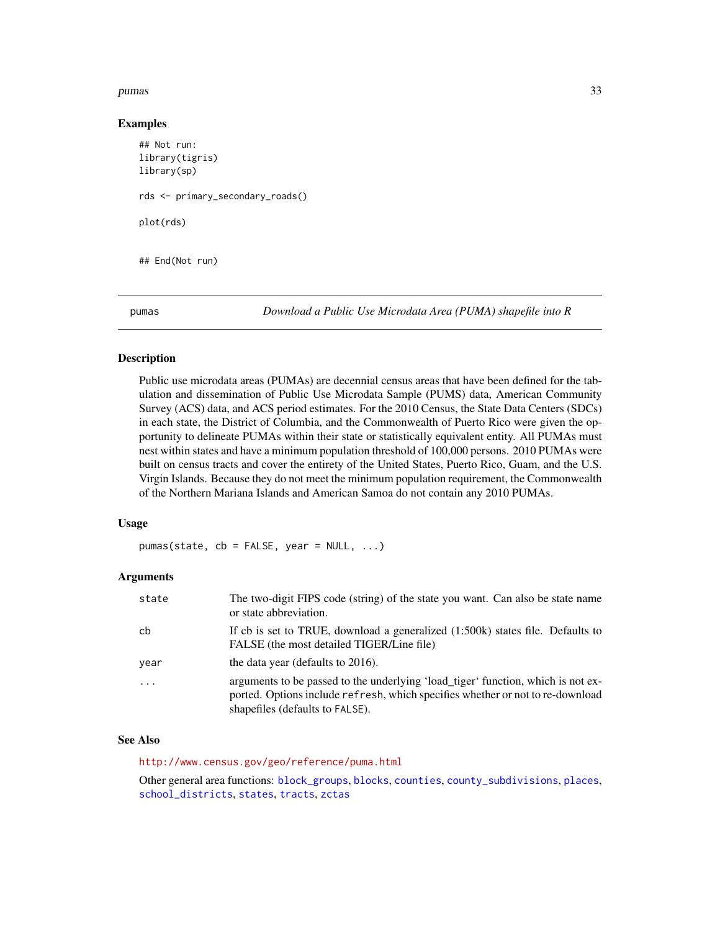#### <span id="page-32-0"></span>pumas 33

#### Examples

```
## Not run:
library(tigris)
library(sp)
rds <- primary_secondary_roads()
plot(rds)
## End(Not run)
```
<span id="page-32-1"></span>pumas *Download a Public Use Microdata Area (PUMA) shapefile into R*

# Description

Public use microdata areas (PUMAs) are decennial census areas that have been defined for the tabulation and dissemination of Public Use Microdata Sample (PUMS) data, American Community Survey (ACS) data, and ACS period estimates. For the 2010 Census, the State Data Centers (SDCs) in each state, the District of Columbia, and the Commonwealth of Puerto Rico were given the opportunity to delineate PUMAs within their state or statistically equivalent entity. All PUMAs must nest within states and have a minimum population threshold of 100,000 persons. 2010 PUMAs were built on census tracts and cover the entirety of the United States, Puerto Rico, Guam, and the U.S. Virgin Islands. Because they do not meet the minimum population requirement, the Commonwealth of the Northern Mariana Islands and American Samoa do not contain any 2010 PUMAs.

#### Usage

 $pumas(state, cb = FALSE, year = NULL, ...)$ 

#### Arguments

| state    | The two-digit FIPS code (string) of the state you want. Can also be state name<br>or state abbreviation.                                                                                              |
|----------|-------------------------------------------------------------------------------------------------------------------------------------------------------------------------------------------------------|
| cb       | If cb is set to TRUE, download a generalized (1:500k) states file. Defaults to<br>FALSE (the most detailed TIGER/Line file)                                                                           |
| vear     | the data year (defaults to 2016).                                                                                                                                                                     |
| $\cdots$ | arguments to be passed to the underlying 'load_tiger' function, which is not ex-<br>ported. Options include refresh, which specifies whether or not to re-download<br>shapefiles (defaults to FALSE). |

#### See Also

<http://www.census.gov/geo/reference/puma.html>

Other general area functions: [block\\_groups](#page-6-1), [blocks](#page-4-1), [counties](#page-12-1), [county\\_subdivisions](#page-13-1), [places](#page-29-1), [school\\_districts](#page-37-1), [states](#page-38-1), [tracts](#page-42-1), [zctas](#page-48-1)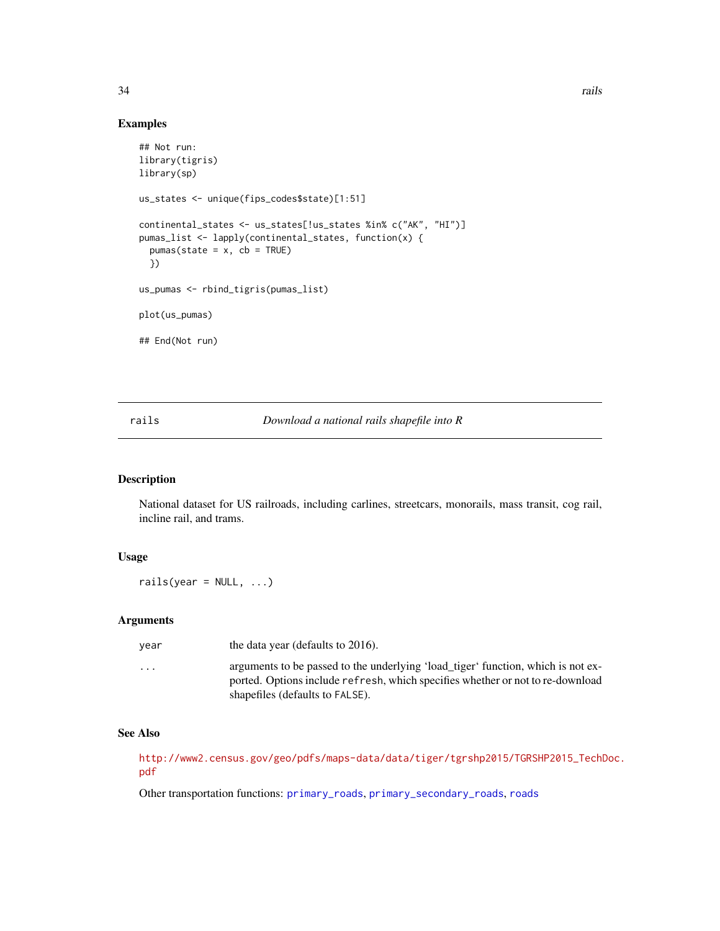# Examples

```
## Not run:
library(tigris)
library(sp)
us_states <- unique(fips_codes$state)[1:51]
continental_states <- us_states[!us_states %in% c("AK", "HI")]
pumas_list <- lapply(continental_states, function(x) {
  pumas(state = x, cb = TRUE)})
us_pumas <- rbind_tigris(pumas_list)
plot(us_pumas)
## End(Not run)
```
# <span id="page-33-1"></span>rails *Download a national rails shapefile into R*

# Description

National dataset for US railroads, including carlines, streetcars, monorails, mass transit, cog rail, incline rail, and trams.

# Usage

 $raise(year = NULL, ...)$ 

# Arguments

| vear                    | the data year (defaults to 2016).                                                                                                                                                                     |
|-------------------------|-------------------------------------------------------------------------------------------------------------------------------------------------------------------------------------------------------|
| $\cdot$ $\cdot$ $\cdot$ | arguments to be passed to the underlying 'load_tiger' function, which is not ex-<br>ported. Options include refresh, which specifies whether or not to re-download<br>shapefiles (defaults to FALSE). |

# See Also

[http://www2.census.gov/geo/pdfs/maps-data/data/tiger/tgrshp2015/TGRSHP2015\\_TechD](http://www2.census.gov/geo/pdfs/maps-data/data/tiger/tgrshp2015/TGRSHP2015_TechDoc.pdf)oc. [pdf](http://www2.census.gov/geo/pdfs/maps-data/data/tiger/tgrshp2015/TGRSHP2015_TechDoc.pdf)

Other transportation functions: [primary\\_roads](#page-30-1), [primary\\_secondary\\_roads](#page-31-1), [roads](#page-36-1)

<span id="page-33-0"></span>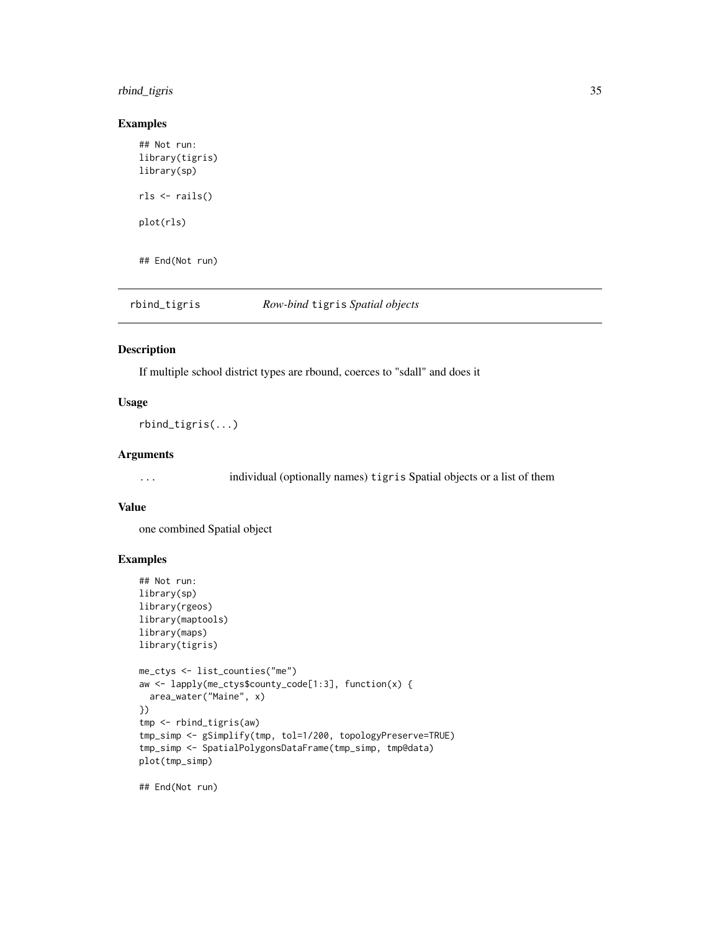# <span id="page-34-0"></span>rbind\_tigris 35

# Examples

```
## Not run:
library(tigris)
library(sp)
rls <- rails()
plot(rls)
## End(Not run)
```
rbind\_tigris *Row-bind* tigris *Spatial objects*

#### Description

If multiple school district types are rbound, coerces to "sdall" and does it

#### Usage

rbind\_tigris(...)

# Arguments

... individual (optionally names) tigris Spatial objects or a list of them

#### Value

one combined Spatial object

# Examples

```
## Not run:
library(sp)
library(rgeos)
library(maptools)
library(maps)
library(tigris)
me_ctys <- list_counties("me")
aw <- lapply(me_ctys$county_code[1:3], function(x) {
  area_water("Maine", x)
})
tmp <- rbind_tigris(aw)
tmp_simp <- gSimplify(tmp, tol=1/200, topologyPreserve=TRUE)
tmp_simp <- SpatialPolygonsDataFrame(tmp_simp, tmp@data)
plot(tmp_simp)
```
## End(Not run)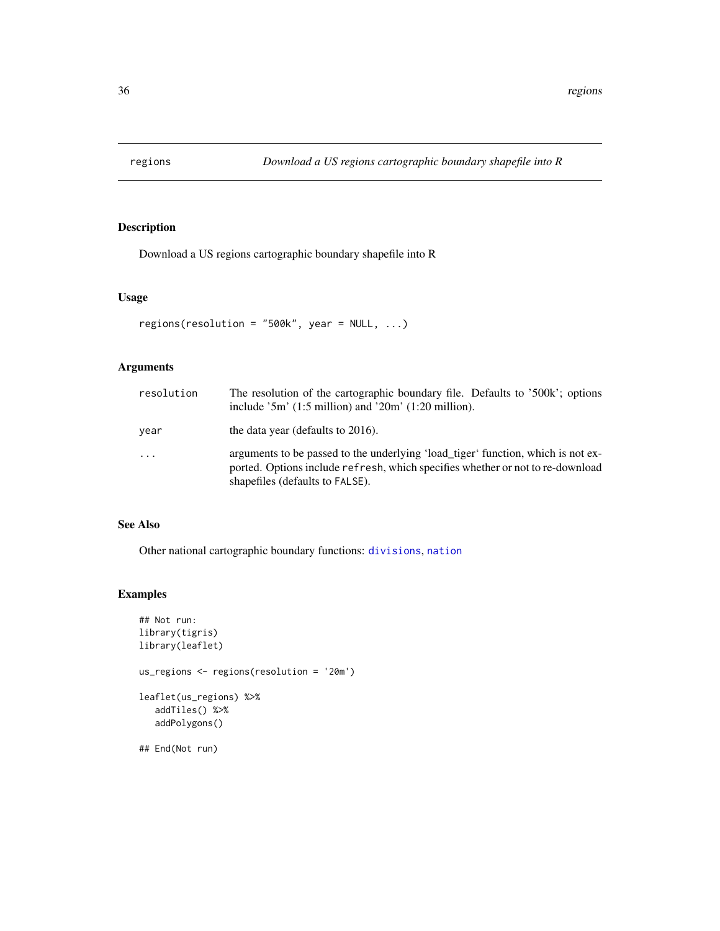<span id="page-35-1"></span><span id="page-35-0"></span>

Download a US regions cartographic boundary shapefile into R

# Usage

```
regions(resolution = "500k", year = NULL, ...)
```
# Arguments

| resolution | The resolution of the cartographic boundary file. Defaults to '500k'; options<br>include $5m'$ (1:5 million) and $20m'$ (1:20 million).                                                               |
|------------|-------------------------------------------------------------------------------------------------------------------------------------------------------------------------------------------------------|
| year       | the data year (defaults to 2016).                                                                                                                                                                     |
| $\cdot$    | arguments to be passed to the underlying 'load_tiger' function, which is not ex-<br>ported. Options include refresh, which specifies whether or not to re-download<br>shapefiles (defaults to FALSE). |

### See Also

Other national cartographic boundary functions: [divisions](#page-15-1), [nation](#page-26-1)

# Examples

```
## Not run:
library(tigris)
library(leaflet)
us_regions <- regions(resolution = '20m')
leaflet(us_regions) %>%
  addTiles() %>%
  addPolygons()
```
## End(Not run)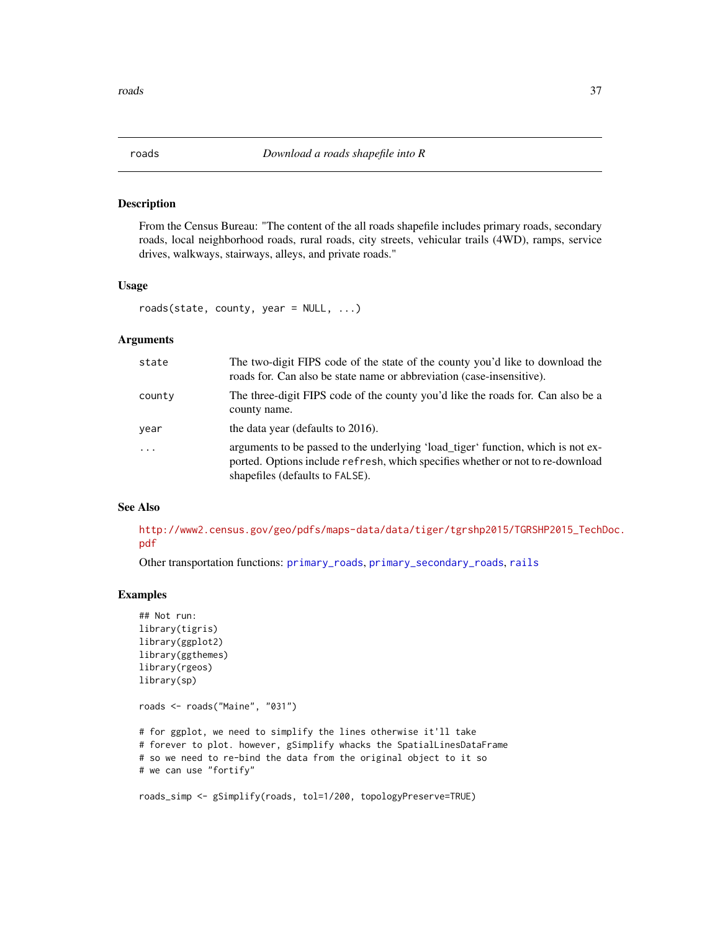<span id="page-36-1"></span><span id="page-36-0"></span>

From the Census Bureau: "The content of the all roads shapefile includes primary roads, secondary roads, local neighborhood roads, rural roads, city streets, vehicular trails (4WD), ramps, service drives, walkways, stairways, alleys, and private roads."

# Usage

```
roads(state, county, year = NULL, ...)
```
#### Arguments

| state    | The two-digit FIPS code of the state of the county you'd like to download the<br>roads for. Can also be state name or abbreviation (case-insensitive).                                                |
|----------|-------------------------------------------------------------------------------------------------------------------------------------------------------------------------------------------------------|
| county   | The three-digit FIPS code of the county you'd like the roads for. Can also be a<br>county name.                                                                                                       |
| year     | the data year (defaults to 2016).                                                                                                                                                                     |
| $\ddots$ | arguments to be passed to the underlying 'load_tiger' function, which is not ex-<br>ported. Options include refresh, which specifies whether or not to re-download<br>shapefiles (defaults to FALSE). |

# See Also

[http://www2.census.gov/geo/pdfs/maps-data/data/tiger/tgrshp2015/TGRSHP2015\\_TechD](http://www2.census.gov/geo/pdfs/maps-data/data/tiger/tgrshp2015/TGRSHP2015_TechDoc.pdf)oc. [pdf](http://www2.census.gov/geo/pdfs/maps-data/data/tiger/tgrshp2015/TGRSHP2015_TechDoc.pdf)

Other transportation functions: [primary\\_roads](#page-30-1), [primary\\_secondary\\_roads](#page-31-1), [rails](#page-33-1)

```
## Not run:
library(tigris)
library(ggplot2)
library(ggthemes)
library(rgeos)
library(sp)
roads <- roads("Maine", "031")
# for ggplot, we need to simplify the lines otherwise it'll take
# forever to plot. however, gSimplify whacks the SpatialLinesDataFrame
# so we need to re-bind the data from the original object to it so
# we can use "fortify"
roads_simp <- gSimplify(roads, tol=1/200, topologyPreserve=TRUE)
```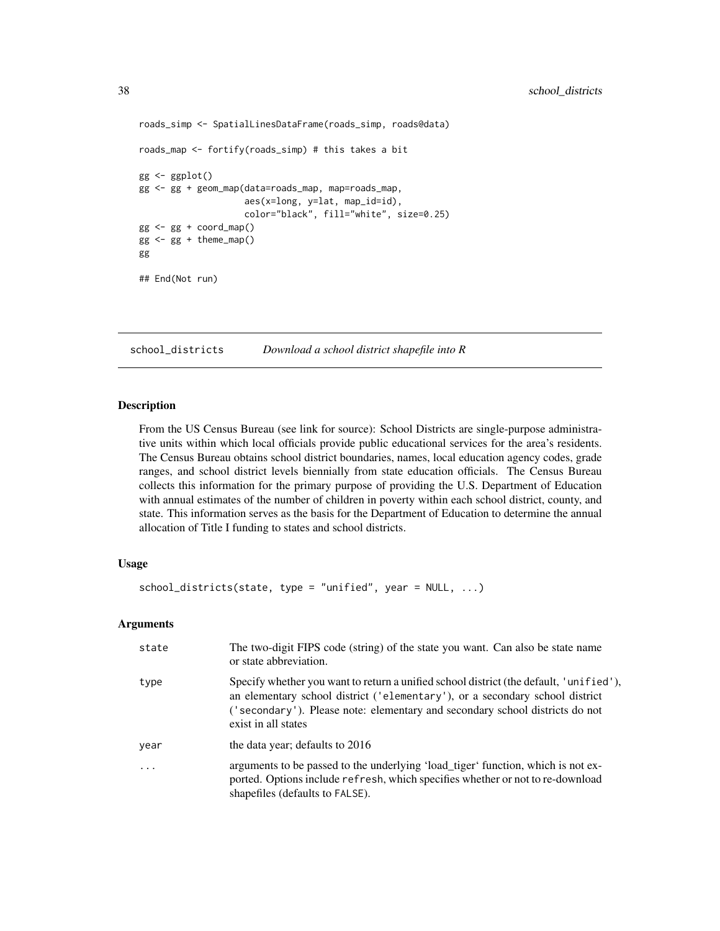```
roads_simp <- SpatialLinesDataFrame(roads_simp, roads@data)
roads_map <- fortify(roads_simp) # this takes a bit
gg < - ggplot()
gg <- gg + geom_map(data=roads_map, map=roads_map,
                    aes(x=long, y=lat, map_id=id),
                    color="black", fill="white", size=0.25)
gg <- gg + coord_map()
gg < - gg + theme_map()gg
## End(Not run)
```
<span id="page-37-1"></span>school\_districts *Download a school district shapefile into R*

#### Description

From the US Census Bureau (see link for source): School Districts are single-purpose administrative units within which local officials provide public educational services for the area's residents. The Census Bureau obtains school district boundaries, names, local education agency codes, grade ranges, and school district levels biennially from state education officials. The Census Bureau collects this information for the primary purpose of providing the U.S. Department of Education with annual estimates of the number of children in poverty within each school district, county, and state. This information serves as the basis for the Department of Education to determine the annual allocation of Title I funding to states and school districts.

#### Usage

```
school_districts(state, type = "unified", year = NULL, ...)
```
#### Arguments

| state     | The two-digit FIPS code (string) of the state you want. Can also be state name<br>or state abbreviation.                                                                                                                                                                      |
|-----------|-------------------------------------------------------------------------------------------------------------------------------------------------------------------------------------------------------------------------------------------------------------------------------|
| type      | Specify whether you want to return a unified school district (the default, 'unified'),<br>an elementary school district ('elementary'), or a secondary school district<br>('secondary'). Please note: elementary and secondary school districts do not<br>exist in all states |
| year      | the data year; defaults to 2016                                                                                                                                                                                                                                               |
| $\ddotsc$ | arguments to be passed to the underlying 'load_tiger' function, which is not ex-<br>ported. Options include refresh, which specifies whether or not to re-download<br>shapefiles (defaults to FALSE).                                                                         |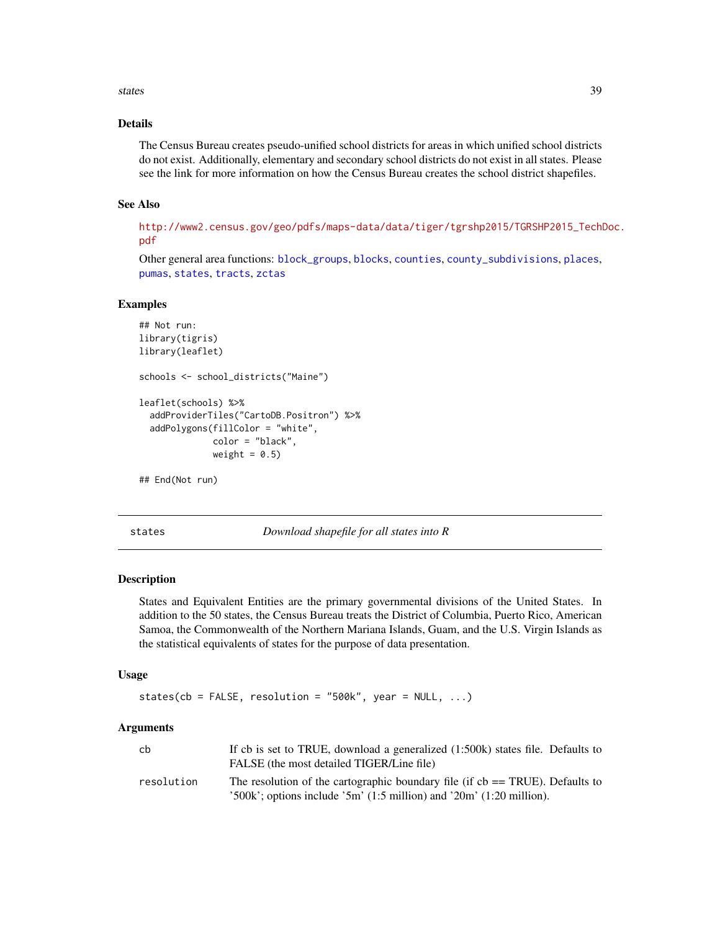#### <span id="page-38-0"></span>states 39

# Details

The Census Bureau creates pseudo-unified school districts for areas in which unified school districts do not exist. Additionally, elementary and secondary school districts do not exist in all states. Please see the link for more information on how the Census Bureau creates the school district shapefiles.

#### See Also

[http://www2.census.gov/geo/pdfs/maps-data/data/tiger/tgrshp2015/TGRSHP2015\\_TechD](http://www2.census.gov/geo/pdfs/maps-data/data/tiger/tgrshp2015/TGRSHP2015_TechDoc.pdf)oc. [pdf](http://www2.census.gov/geo/pdfs/maps-data/data/tiger/tgrshp2015/TGRSHP2015_TechDoc.pdf)

Other general area functions: [block\\_groups](#page-6-1), [blocks](#page-4-1), [counties](#page-12-1), [county\\_subdivisions](#page-13-1), [places](#page-29-1), [pumas](#page-32-1), [states](#page-38-1), [tracts](#page-42-1), [zctas](#page-48-1)

#### Examples

```
## Not run:
library(tigris)
library(leaflet)
schools <- school_districts("Maine")
leaflet(schools) %>%
 addProviderTiles("CartoDB.Positron") %>%
 addPolygons(fillColor = "white",
              color = "black",
              weight = 0.5)
```

```
## End(Not run)
```
<span id="page-38-1"></span>states *Download shapefile for all states into R*

#### Description

States and Equivalent Entities are the primary governmental divisions of the United States. In addition to the 50 states, the Census Bureau treats the District of Columbia, Puerto Rico, American Samoa, the Commonwealth of the Northern Mariana Islands, Guam, and the U.S. Virgin Islands as the statistical equivalents of states for the purpose of data presentation.

#### Usage

states(cb = FALSE, resolution = "500k", year =  $NULL, ...)$ 

### Arguments

| cb         | If cb is set to TRUE, download a generalized (1:500k) states file. Defaults to<br>FALSE (the most detailed TIGER/Line file)                                   |
|------------|---------------------------------------------------------------------------------------------------------------------------------------------------------------|
| resolution | The resolution of the cartographic boundary file (if $cb = TRUE$ ). Defaults to<br>$'500k$ ; options include $'5m'$ (1:5 million) and $'20m'$ (1:20 million). |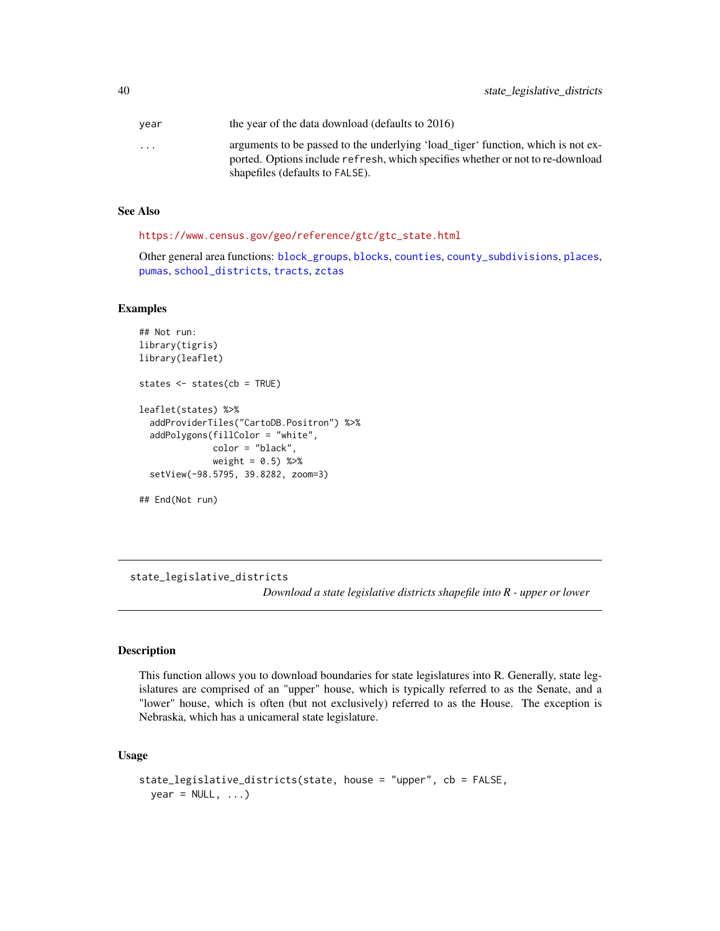<span id="page-39-0"></span>

| vear                    | the year of the data download (defaults to 2016)                                                                                                                   |
|-------------------------|--------------------------------------------------------------------------------------------------------------------------------------------------------------------|
| $\cdot$ $\cdot$ $\cdot$ | arguments to be passed to the underlying 'load_tiger' function, which is not ex-<br>ported. Options include refresh, which specifies whether or not to re-download |
|                         | shapefiles (defaults to FALSE).                                                                                                                                    |

#### See Also

[https://www.census.gov/geo/reference/gtc/gtc\\_state.html](https://www.census.gov/geo/reference/gtc/gtc_state.html)

Other general area functions: [block\\_groups](#page-6-1), [blocks](#page-4-1), [counties](#page-12-1), [county\\_subdivisions](#page-13-1), [places](#page-29-1), [pumas](#page-32-1), [school\\_districts](#page-37-1), [tracts](#page-42-1), [zctas](#page-48-1)

# Examples

```
## Not run:
library(tigris)
library(leaflet)
states <- states(cb = TRUE)
leaflet(states) %>%
  addProviderTiles("CartoDB.Positron") %>%
  addPolygons(fillColor = "white",
             color = "black",
              weight = 0.5) %>%
  setView(-98.5795, 39.8282, zoom=3)
```
## End(Not run)

<span id="page-39-1"></span>state\_legislative\_districts

*Download a state legislative districts shapefile into R - upper or lower*

#### Description

This function allows you to download boundaries for state legislatures into R. Generally, state legislatures are comprised of an "upper" house, which is typically referred to as the Senate, and a "lower" house, which is often (but not exclusively) referred to as the House. The exception is Nebraska, which has a unicameral state legislature.

# Usage

```
state_legislative_districts(state, house = "upper", cb = FALSE,
 year = NULL, ...)
```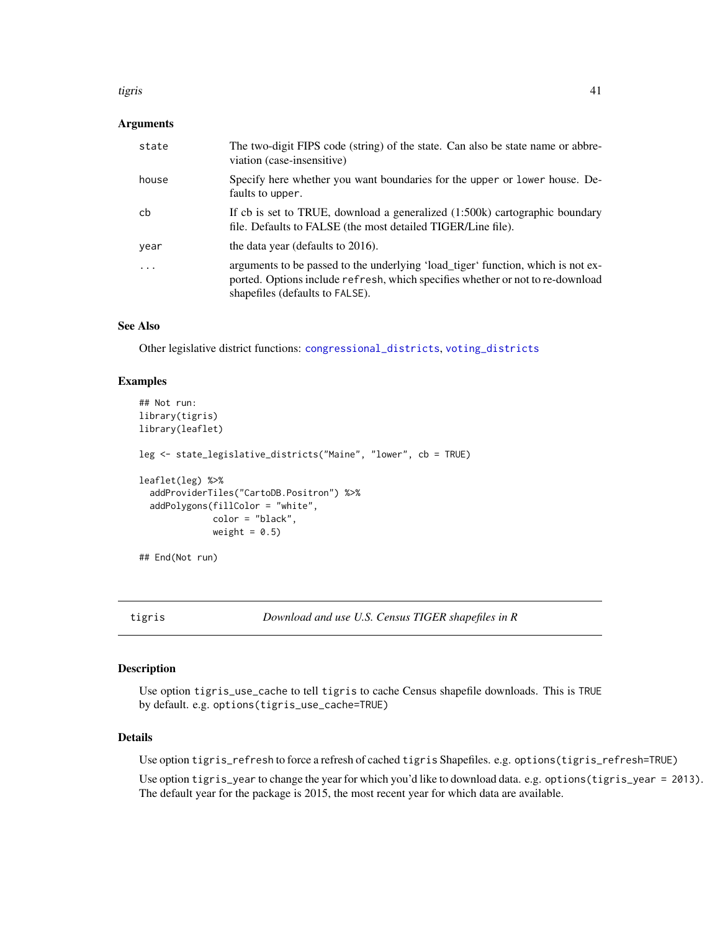#### <span id="page-40-0"></span>tigris 41

#### **Arguments**

| state | The two-digit FIPS code (string) of the state. Can also be state name or abbre-<br>viation (case-insensitive)                                                                                         |
|-------|-------------------------------------------------------------------------------------------------------------------------------------------------------------------------------------------------------|
| house | Specify here whether you want boundaries for the upper or lower house. De-<br>faults to upper.                                                                                                        |
| cb    | If cb is set to TRUE, download a generalized (1:500k) cartographic boundary<br>file. Defaults to FALSE (the most detailed TIGER/Line file).                                                           |
| year  | the data year (defaults to 2016).                                                                                                                                                                     |
| .     | arguments to be passed to the underlying 'load_tiger' function, which is not ex-<br>ported. Options include refresh, which specifies whether or not to re-download<br>shapefiles (defaults to FALSE). |

#### See Also

Other legislative district functions: [congressional\\_districts](#page-10-1), [voting\\_districts](#page-47-2)

# Examples

```
## Not run:
library(tigris)
library(leaflet)
leg <- state_legislative_districts("Maine", "lower", cb = TRUE)
leaflet(leg) %>%
  addProviderTiles("CartoDB.Positron") %>%
  addPolygons(fillColor = "white",
              color = "black",
              weight = 0.5)
## End(Not run)
```
tigris *Download and use U.S. Census TIGER shapefiles in R*

# Description

Use option tigris\_use\_cache to tell tigris to cache Census shapefile downloads. This is TRUE by default. e.g. options(tigris\_use\_cache=TRUE)

#### Details

Use option tigris\_refresh to force a refresh of cached tigris Shapefiles. e.g. options(tigris\_refresh=TRUE)

Use option tigris\_year to change the year for which you'd like to download data. e.g. options(tigris\_year = 2013). The default year for the package is 2015, the most recent year for which data are available.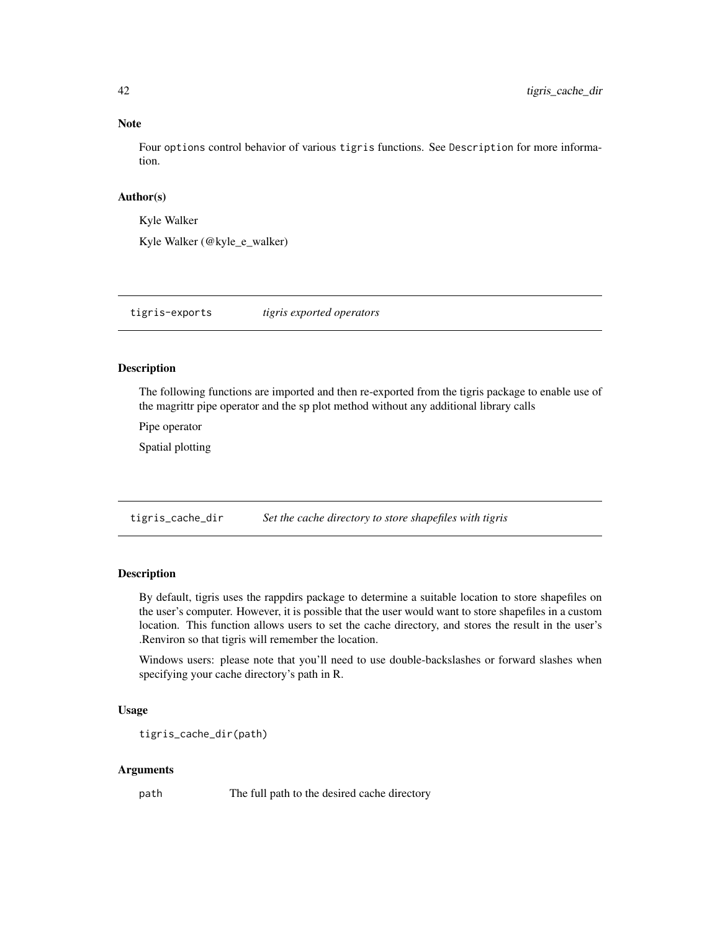#### Note

Four options control behavior of various tigris functions. See Description for more information.

#### Author(s)

Kyle Walker

Kyle Walker (@kyle\_e\_walker)

tigris-exports *tigris exported operators*

# Description

The following functions are imported and then re-exported from the tigris package to enable use of the magrittr pipe operator and the sp plot method without any additional library calls

Pipe operator

Spatial plotting

tigris\_cache\_dir *Set the cache directory to store shapefiles with tigris*

# Description

By default, tigris uses the rappdirs package to determine a suitable location to store shapefiles on the user's computer. However, it is possible that the user would want to store shapefiles in a custom location. This function allows users to set the cache directory, and stores the result in the user's .Renviron so that tigris will remember the location.

Windows users: please note that you'll need to use double-backslashes or forward slashes when specifying your cache directory's path in R.

#### Usage

tigris\_cache\_dir(path)

#### Arguments

path The full path to the desired cache directory

<span id="page-41-0"></span>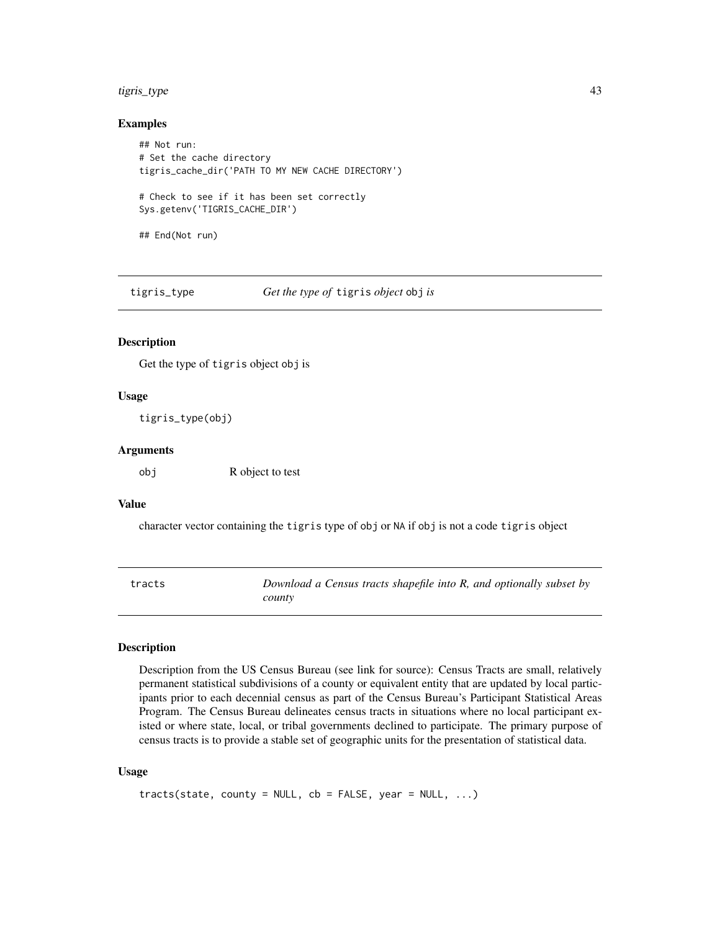# <span id="page-42-0"></span>tigris\_type 43

#### Examples

```
## Not run:
# Set the cache directory
tigris_cache_dir('PATH TO MY NEW CACHE DIRECTORY')
# Check to see if it has been set correctly
Sys.getenv('TIGRIS_CACHE_DIR')
## End(Not run)
```
tigris\_type *Get the type of* tigris *object* obj *is*

# Description

Get the type of tigris object obj is

# Usage

tigris\_type(obj)

#### Arguments

obj R object to test

# Value

character vector containing the tigris type of obj or NA if obj is not a code tigris object

<span id="page-42-1"></span>

| tracts | Download a Census tracts shapefile into R, and optionally subset by |
|--------|---------------------------------------------------------------------|
|        | county                                                              |

# Description

Description from the US Census Bureau (see link for source): Census Tracts are small, relatively permanent statistical subdivisions of a county or equivalent entity that are updated by local participants prior to each decennial census as part of the Census Bureau's Participant Statistical Areas Program. The Census Bureau delineates census tracts in situations where no local participant existed or where state, local, or tribal governments declined to participate. The primary purpose of census tracts is to provide a stable set of geographic units for the presentation of statistical data.

#### Usage

```
tracts(state, county = NULL, cb = FALSE, year = NULL, ...)
```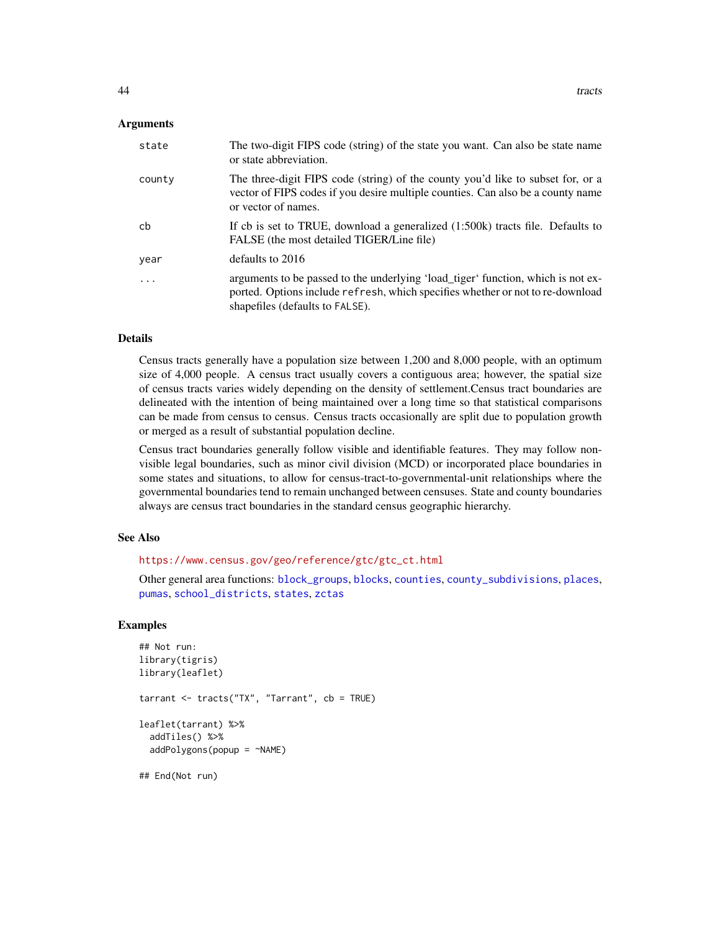#### <span id="page-43-0"></span>Arguments

| state     | The two-digit FIPS code (string) of the state you want. Can also be state name<br>or state abbreviation.                                                                                              |
|-----------|-------------------------------------------------------------------------------------------------------------------------------------------------------------------------------------------------------|
| county    | The three-digit FIPS code (string) of the county you'd like to subset for, or a<br>vector of FIPS codes if you desire multiple counties. Can also be a county name<br>or vector of names.             |
| cb        | If cb is set to TRUE, download a generalized (1:500k) tracts file. Defaults to<br>FALSE (the most detailed TIGER/Line file)                                                                           |
| year      | defaults to 2016                                                                                                                                                                                      |
| $\ddotsc$ | arguments to be passed to the underlying 'load_tiger' function, which is not ex-<br>ported. Options include refresh, which specifies whether or not to re-download<br>shapefiles (defaults to FALSE). |

#### Details

Census tracts generally have a population size between 1,200 and 8,000 people, with an optimum size of 4,000 people. A census tract usually covers a contiguous area; however, the spatial size of census tracts varies widely depending on the density of settlement.Census tract boundaries are delineated with the intention of being maintained over a long time so that statistical comparisons can be made from census to census. Census tracts occasionally are split due to population growth or merged as a result of substantial population decline.

Census tract boundaries generally follow visible and identifiable features. They may follow nonvisible legal boundaries, such as minor civil division (MCD) or incorporated place boundaries in some states and situations, to allow for census-tract-to-governmental-unit relationships where the governmental boundaries tend to remain unchanged between censuses. State and county boundaries always are census tract boundaries in the standard census geographic hierarchy.

### See Also

[https://www.census.gov/geo/reference/gtc/gtc\\_ct.html](https://www.census.gov/geo/reference/gtc/gtc_ct.html)

Other general area functions: [block\\_groups](#page-6-1), [blocks](#page-4-1), [counties](#page-12-1), [county\\_subdivisions](#page-13-1), [places](#page-29-1), [pumas](#page-32-1), [school\\_districts](#page-37-1), [states](#page-38-1), [zctas](#page-48-1)

```
## Not run:
library(tigris)
library(leaflet)
tarrant <- tracts("TX", "Tarrant", cb = TRUE)
leaflet(tarrant) %>%
 addTiles() %>%
 addPolygons(popup = ~NAME)
```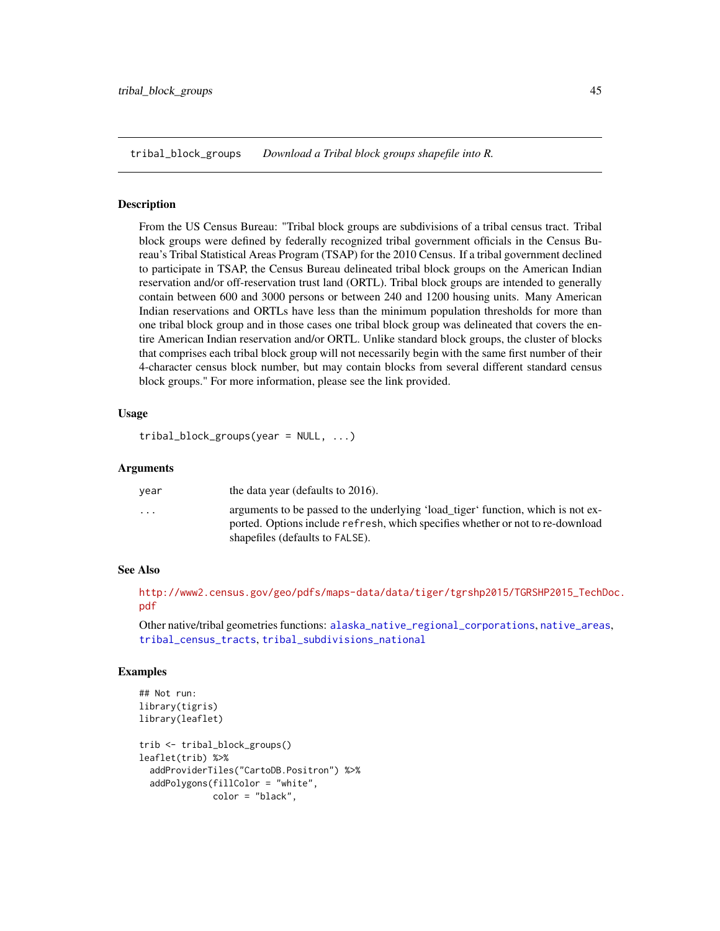<span id="page-44-1"></span><span id="page-44-0"></span>tribal\_block\_groups *Download a Tribal block groups shapefile into R.*

#### Description

From the US Census Bureau: "Tribal block groups are subdivisions of a tribal census tract. Tribal block groups were defined by federally recognized tribal government officials in the Census Bureau's Tribal Statistical Areas Program (TSAP) for the 2010 Census. If a tribal government declined to participate in TSAP, the Census Bureau delineated tribal block groups on the American Indian reservation and/or off-reservation trust land (ORTL). Tribal block groups are intended to generally contain between 600 and 3000 persons or between 240 and 1200 housing units. Many American Indian reservations and ORTLs have less than the minimum population thresholds for more than one tribal block group and in those cases one tribal block group was delineated that covers the entire American Indian reservation and/or ORTL. Unlike standard block groups, the cluster of blocks that comprises each tribal block group will not necessarily begin with the same first number of their 4-character census block number, but may contain blocks from several different standard census block groups." For more information, please see the link provided.

#### Usage

```
tribal_block_groups(year = NULL, ...)
```
#### Arguments

| vear                    | the data year (defaults to 2016).                                                                                                                                                                     |
|-------------------------|-------------------------------------------------------------------------------------------------------------------------------------------------------------------------------------------------------|
| $\cdot$ $\cdot$ $\cdot$ | arguments to be passed to the underlying 'load_tiger' function, which is not ex-<br>ported. Options include refresh, which specifies whether or not to re-download<br>shapefiles (defaults to FALSE). |
|                         |                                                                                                                                                                                                       |

# See Also

[http://www2.census.gov/geo/pdfs/maps-data/data/tiger/tgrshp2015/TGRSHP2015\\_TechD](http://www2.census.gov/geo/pdfs/maps-data/data/tiger/tgrshp2015/TGRSHP2015_TechDoc.pdf)oc. [pdf](http://www2.census.gov/geo/pdfs/maps-data/data/tiger/tgrshp2015/TGRSHP2015_TechDoc.pdf)

Other native/tribal geometries functions: [alaska\\_native\\_regional\\_corporations](#page-2-1), [native\\_areas](#page-27-1), [tribal\\_census\\_tracts](#page-45-1), [tribal\\_subdivisions\\_national](#page-46-1)

```
## Not run:
library(tigris)
library(leaflet)
trib <- tribal_block_groups()
leaflet(trib) %>%
 addProviderTiles("CartoDB.Positron") %>%
 addPolygons(fillColor = "white",
              color = "black",
```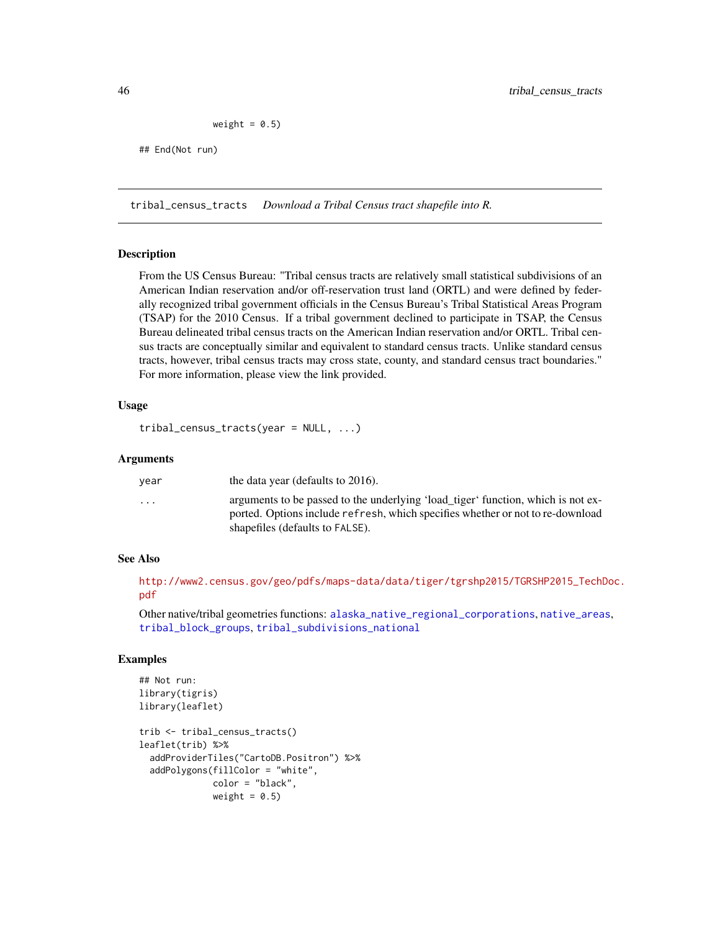weight =  $0.5$ )

## End(Not run)

<span id="page-45-1"></span>tribal\_census\_tracts *Download a Tribal Census tract shapefile into R.*

#### Description

From the US Census Bureau: "Tribal census tracts are relatively small statistical subdivisions of an American Indian reservation and/or off-reservation trust land (ORTL) and were defined by federally recognized tribal government officials in the Census Bureau's Tribal Statistical Areas Program (TSAP) for the 2010 Census. If a tribal government declined to participate in TSAP, the Census Bureau delineated tribal census tracts on the American Indian reservation and/or ORTL. Tribal census tracts are conceptually similar and equivalent to standard census tracts. Unlike standard census tracts, however, tribal census tracts may cross state, county, and standard census tract boundaries." For more information, please view the link provided.

#### Usage

```
tribal_census_tracts(year = NULL, ...)
```
#### Arguments

| vear                    | the data year (defaults to 2016).                                                                                                                                                                     |
|-------------------------|-------------------------------------------------------------------------------------------------------------------------------------------------------------------------------------------------------|
| $\cdot$ $\cdot$ $\cdot$ | arguments to be passed to the underlying 'load tiger' function, which is not ex-<br>ported. Options include refresh, which specifies whether or not to re-download<br>shapefiles (defaults to FALSE). |
|                         |                                                                                                                                                                                                       |

# See Also

[http://www2.census.gov/geo/pdfs/maps-data/data/tiger/tgrshp2015/TGRSHP2015\\_TechD](http://www2.census.gov/geo/pdfs/maps-data/data/tiger/tgrshp2015/TGRSHP2015_TechDoc.pdf)oc. [pdf](http://www2.census.gov/geo/pdfs/maps-data/data/tiger/tgrshp2015/TGRSHP2015_TechDoc.pdf)

Other native/tribal geometries functions: [alaska\\_native\\_regional\\_corporations](#page-2-1), [native\\_areas](#page-27-1), [tribal\\_block\\_groups](#page-44-1), [tribal\\_subdivisions\\_national](#page-46-1)

```
## Not run:
library(tigris)
library(leaflet)
trib <- tribal_census_tracts()
leaflet(trib) %>%
 addProviderTiles("CartoDB.Positron") %>%
 addPolygons(fillColor = "white",
              color = "black",
```

```
weight = 0.5)
```
<span id="page-45-0"></span>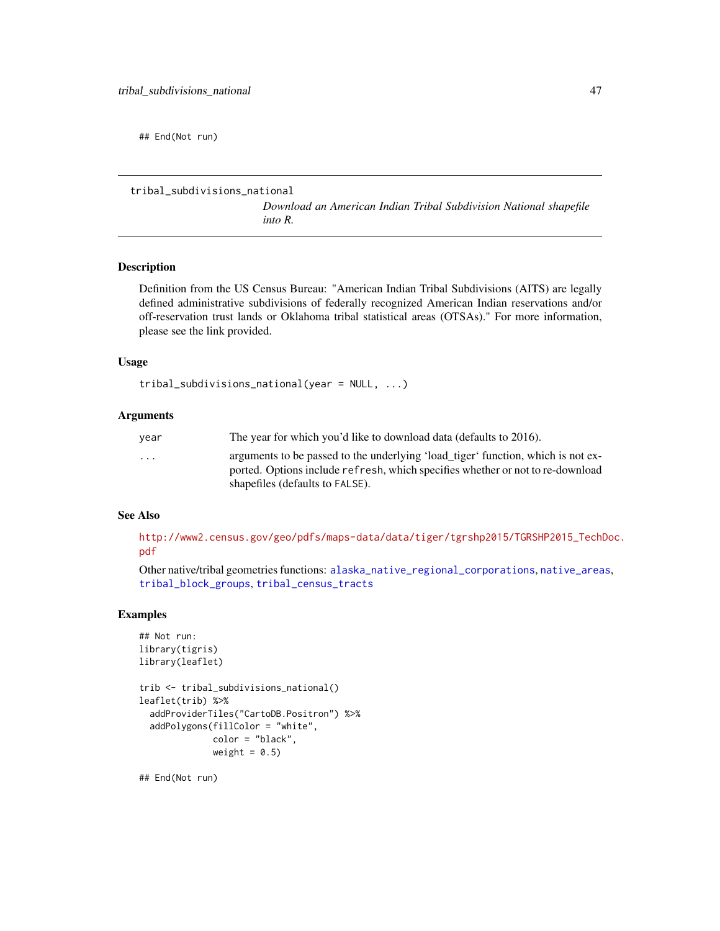<span id="page-46-0"></span>## End(Not run)

```
tribal_subdivisions_national
```
*Download an American Indian Tribal Subdivision National shapefile into R.*

#### Description

Definition from the US Census Bureau: "American Indian Tribal Subdivisions (AITS) are legally defined administrative subdivisions of federally recognized American Indian reservations and/or off-reservation trust lands or Oklahoma tribal statistical areas (OTSAs)." For more information, please see the link provided.

#### Usage

tribal\_subdivisions\_national(year = NULL, ...)

#### **Arguments**

| vear                    | The year for which you'd like to download data (defaults to 2016).               |
|-------------------------|----------------------------------------------------------------------------------|
| $\cdot$ $\cdot$ $\cdot$ | arguments to be passed to the underlying 'load_tiger' function, which is not ex- |
|                         | ported. Options include refresh, which specifies whether or not to re-download   |
|                         | shapefiles (defaults to FALSE).                                                  |

# See Also

[http://www2.census.gov/geo/pdfs/maps-data/data/tiger/tgrshp2015/TGRSHP2015\\_TechD](http://www2.census.gov/geo/pdfs/maps-data/data/tiger/tgrshp2015/TGRSHP2015_TechDoc.pdf)oc. [pdf](http://www2.census.gov/geo/pdfs/maps-data/data/tiger/tgrshp2015/TGRSHP2015_TechDoc.pdf)

Other native/tribal geometries functions: [alaska\\_native\\_regional\\_corporations](#page-2-1), [native\\_areas](#page-27-1), [tribal\\_block\\_groups](#page-44-1), [tribal\\_census\\_tracts](#page-45-1)

# Examples

```
## Not run:
library(tigris)
library(leaflet)
trib <- tribal_subdivisions_national()
leaflet(trib) %>%
  addProviderTiles("CartoDB.Positron") %>%
  addPolygons(fillColor = "white",
              color = "black",
              weight = 0.5)
```
## End(Not run)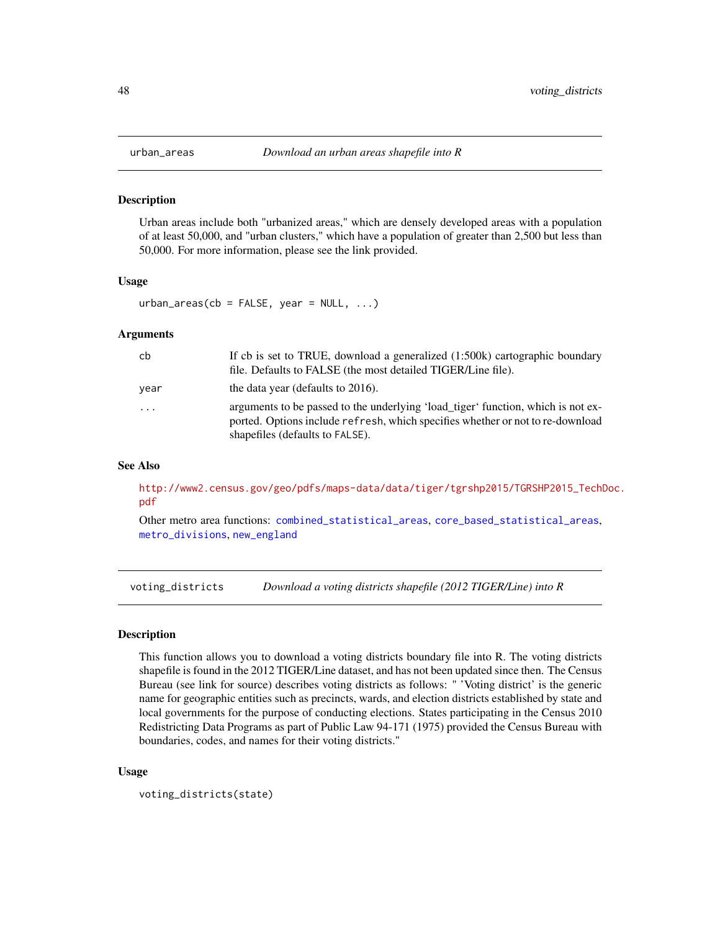<span id="page-47-1"></span><span id="page-47-0"></span>

Urban areas include both "urbanized areas," which are densely developed areas with a population of at least 50,000, and "urban clusters," which have a population of greater than 2,500 but less than 50,000. For more information, please see the link provided.

#### Usage

 $urban_a$ reas(cb = FALSE, year = NULL, ...)

#### **Arguments**

| cb   | If cb is set to TRUE, download a generalized $(1:500k)$ cartographic boundary<br>file. Defaults to FALSE (the most detailed TIGER/Line file).                                                         |
|------|-------------------------------------------------------------------------------------------------------------------------------------------------------------------------------------------------------|
| vear | the data year (defaults to 2016).                                                                                                                                                                     |
| .    | arguments to be passed to the underlying 'load_tiger' function, which is not ex-<br>ported. Options include refresh, which specifies whether or not to re-download<br>shapefiles (defaults to FALSE). |

#### See Also

[http://www2.census.gov/geo/pdfs/maps-data/data/tiger/tgrshp2015/TGRSHP2015\\_TechD](http://www2.census.gov/geo/pdfs/maps-data/data/tiger/tgrshp2015/TGRSHP2015_TechDoc.pdf)oc. [pdf](http://www2.census.gov/geo/pdfs/maps-data/data/tiger/tgrshp2015/TGRSHP2015_TechDoc.pdf)

Other metro area functions: [combined\\_statistical\\_areas](#page-9-1), [core\\_based\\_statistical\\_areas](#page-11-1), [metro\\_divisions](#page-25-1), [new\\_england](#page-28-1)

<span id="page-47-2"></span>voting\_districts *Download a voting districts shapefile (2012 TIGER/Line) into R*

# **Description**

This function allows you to download a voting districts boundary file into R. The voting districts shapefile is found in the 2012 TIGER/Line dataset, and has not been updated since then. The Census Bureau (see link for source) describes voting districts as follows: " 'Voting district' is the generic name for geographic entities such as precincts, wards, and election districts established by state and local governments for the purpose of conducting elections. States participating in the Census 2010 Redistricting Data Programs as part of Public Law 94-171 (1975) provided the Census Bureau with boundaries, codes, and names for their voting districts."

#### Usage

```
voting_districts(state)
```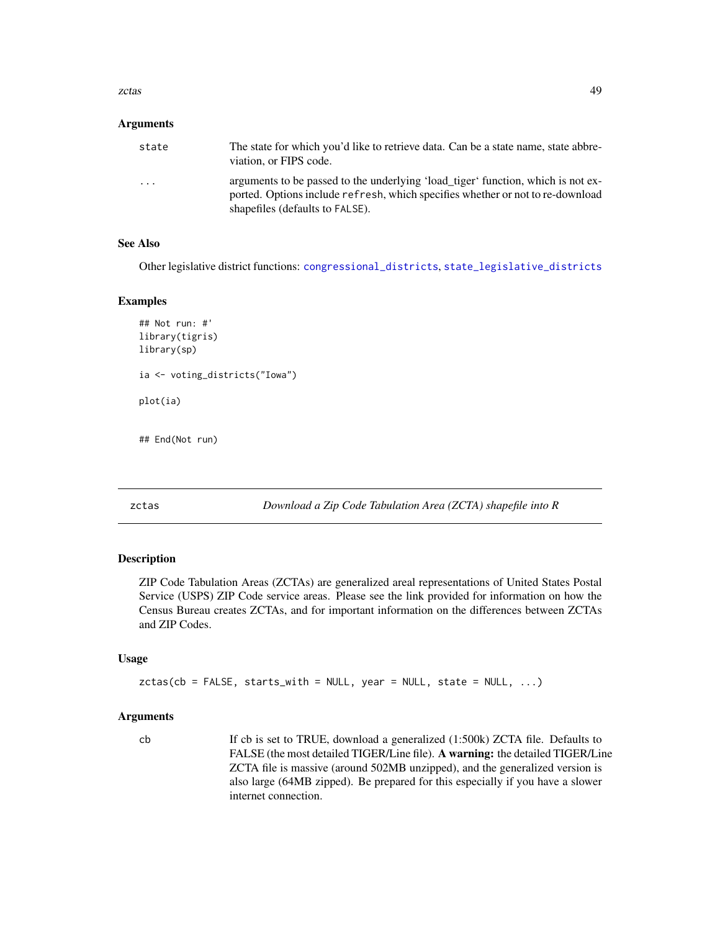<span id="page-48-0"></span>zctas and the contract of the contract of the contract of the contract of the contract of the contract of the contract of the contract of the contract of the contract of the contract of the contract of the contract of the

#### **Arguments**

| state   | The state for which you'd like to retrieve data. Can be a state name, state abbre-<br>viation, or FIPS code.                                                       |
|---------|--------------------------------------------------------------------------------------------------------------------------------------------------------------------|
| $\cdot$ | arguments to be passed to the underlying 'load_tiger' function, which is not ex-<br>ported. Options include refresh, which specifies whether or not to re-download |
|         | shapefiles (defaults to FALSE).                                                                                                                                    |

# See Also

Other legislative district functions: [congressional\\_districts](#page-10-1), [state\\_legislative\\_districts](#page-39-1)

#### Examples

```
## Not run: #'
library(tigris)
library(sp)
ia <- voting_districts("Iowa")
plot(ia)
```
<span id="page-48-1"></span>

## End(Not run)

zctas *Download a Zip Code Tabulation Area (ZCTA) shapefile into R*

#### Description

ZIP Code Tabulation Areas (ZCTAs) are generalized areal representations of United States Postal Service (USPS) ZIP Code service areas. Please see the link provided for information on how the Census Bureau creates ZCTAs, and for important information on the differences between ZCTAs and ZIP Codes.

# Usage

```
zctas(cb = FALSE, starts_with = NULL, year = NULL, state = NULL, ...)
```
# Arguments

cb If cb is set to TRUE, download a generalized (1:500k) ZCTA file. Defaults to FALSE (the most detailed TIGER/Line file). A warning: the detailed TIGER/Line ZCTA file is massive (around 502MB unzipped), and the generalized version is also large (64MB zipped). Be prepared for this especially if you have a slower internet connection.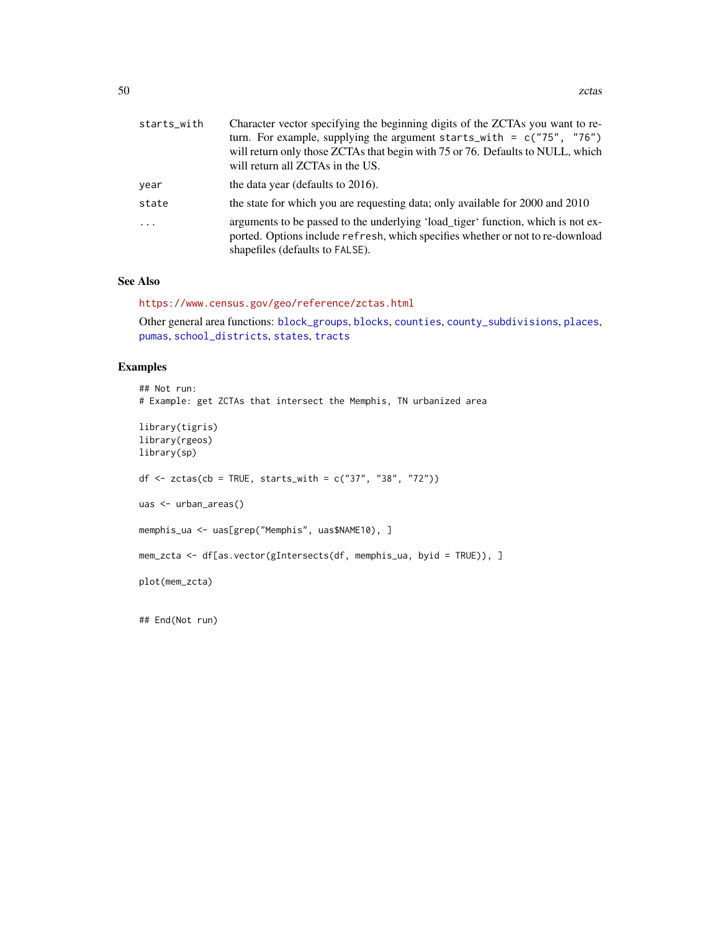<span id="page-49-0"></span>

| starts_with | Character vector specifying the beginning digits of the ZCTAs you want to re-<br>turn. For example, supplying the argument starts_with = $c("75", "76")$<br>will return only those ZCTAs that begin with 75 or 76. Defaults to NULL, which<br>will return all ZCTAs in the US. |
|-------------|--------------------------------------------------------------------------------------------------------------------------------------------------------------------------------------------------------------------------------------------------------------------------------|
| year        | the data year (defaults to 2016).                                                                                                                                                                                                                                              |
| state       | the state for which you are requesting data; only available for 2000 and 2010                                                                                                                                                                                                  |
| $\cdot$     | arguments to be passed to the underlying 'load_tiger' function, which is not ex-<br>ported. Options include refresh, which specifies whether or not to re-download<br>shapefiles (defaults to FALSE).                                                                          |

# See Also

<https://www.census.gov/geo/reference/zctas.html>

Other general area functions: [block\\_groups](#page-6-1), [blocks](#page-4-1), [counties](#page-12-1), [county\\_subdivisions](#page-13-1), [places](#page-29-1), [pumas](#page-32-1), [school\\_districts](#page-37-1), [states](#page-38-1), [tracts](#page-42-1)

# Examples

```
## Not run:
# Example: get ZCTAs that intersect the Memphis, TN urbanized area
library(tigris)
library(rgeos)
library(sp)
df <- zctas(cb = TRUE, starts_with = c("37", "38", "72"))uas <- urban_areas()
memphis_ua <- uas[grep("Memphis", uas$NAME10), ]
mem_zcta <- df[as.vector(gIntersects(df, memphis_ua, byid = TRUE)), ]
plot(mem_zcta)
```
## End(Not run)